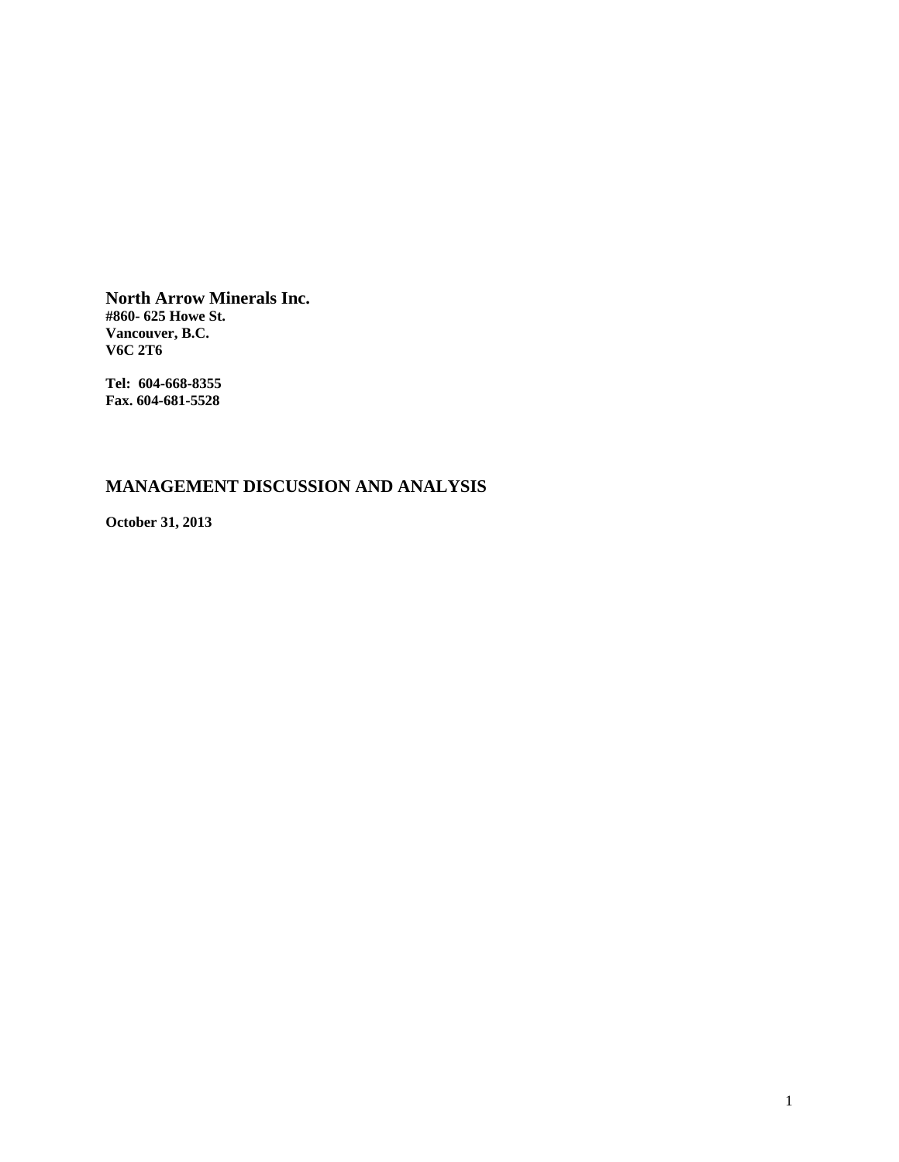**North Arrow Minerals Inc. #860- 625 Howe St. Vancouver, B.C. V6C 2T6** 

**Tel: 604-668-8355 Fax. 604-681-5528** 

# **MANAGEMENT DISCUSSION AND ANALYSIS**

**October 31, 2013**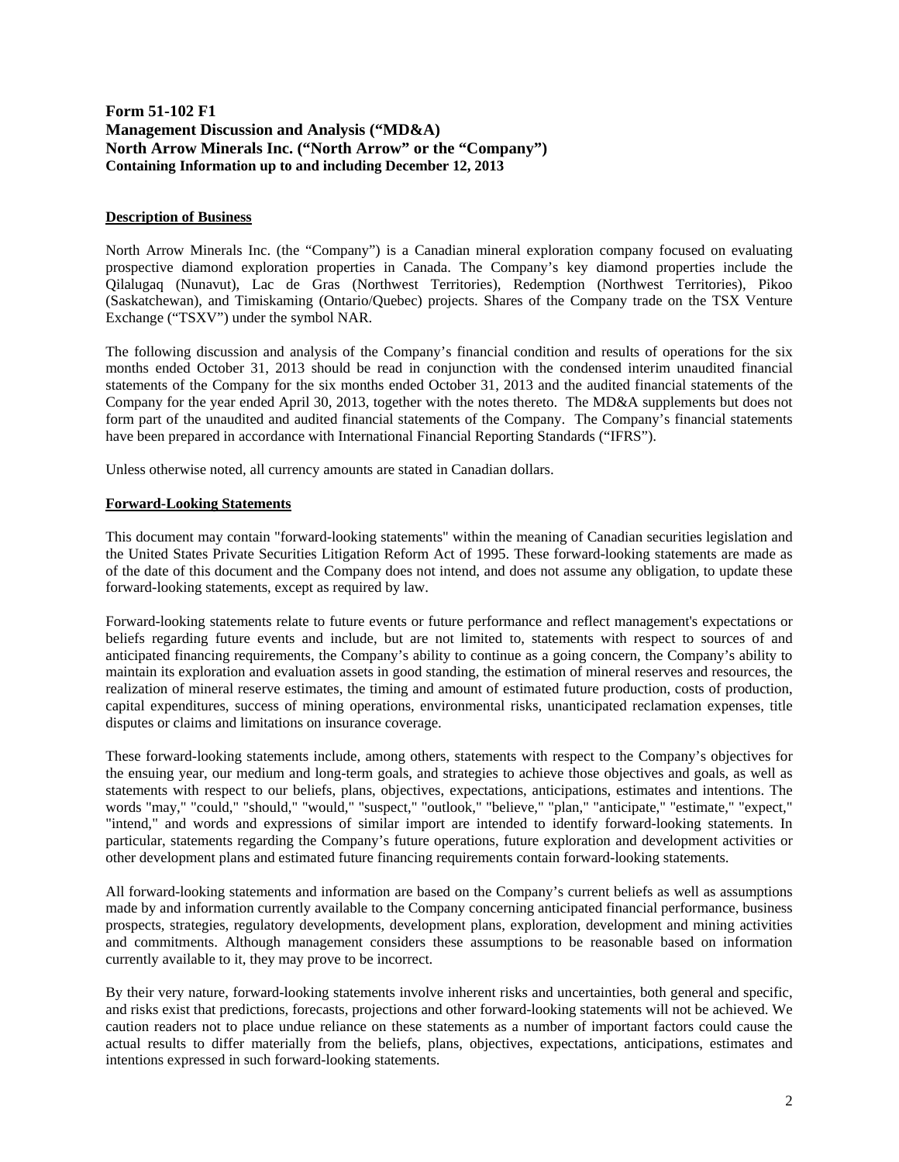# **Form 51-102 F1 Management Discussion and Analysis ("MD&A) North Arrow Minerals Inc. ("North Arrow" or the "Company") Containing Information up to and including December 12, 2013**

# **Description of Business**

North Arrow Minerals Inc. (the "Company") is a Canadian mineral exploration company focused on evaluating prospective diamond exploration properties in Canada. The Company's key diamond properties include the Qilalugaq (Nunavut), Lac de Gras (Northwest Territories), Redemption (Northwest Territories), Pikoo (Saskatchewan), and Timiskaming (Ontario/Quebec) projects. Shares of the Company trade on the TSX Venture Exchange ("TSXV") under the symbol NAR.

The following discussion and analysis of the Company's financial condition and results of operations for the six months ended October 31, 2013 should be read in conjunction with the condensed interim unaudited financial statements of the Company for the six months ended October 31, 2013 and the audited financial statements of the Company for the year ended April 30, 2013, together with the notes thereto. The MD&A supplements but does not form part of the unaudited and audited financial statements of the Company. The Company's financial statements have been prepared in accordance with International Financial Reporting Standards ("IFRS").

Unless otherwise noted, all currency amounts are stated in Canadian dollars.

# **Forward-Looking Statements**

This document may contain "forward-looking statements" within the meaning of Canadian securities legislation and the United States Private Securities Litigation Reform Act of 1995. These forward-looking statements are made as of the date of this document and the Company does not intend, and does not assume any obligation, to update these forward-looking statements, except as required by law.

Forward-looking statements relate to future events or future performance and reflect management's expectations or beliefs regarding future events and include, but are not limited to, statements with respect to sources of and anticipated financing requirements, the Company's ability to continue as a going concern, the Company's ability to maintain its exploration and evaluation assets in good standing, the estimation of mineral reserves and resources, the realization of mineral reserve estimates, the timing and amount of estimated future production, costs of production, capital expenditures, success of mining operations, environmental risks, unanticipated reclamation expenses, title disputes or claims and limitations on insurance coverage.

These forward-looking statements include, among others, statements with respect to the Company's objectives for the ensuing year, our medium and long-term goals, and strategies to achieve those objectives and goals, as well as statements with respect to our beliefs, plans, objectives, expectations, anticipations, estimates and intentions. The words "may," "could," "should," "would," "suspect," "outlook," "believe," "plan," "anticipate," "estimate," "expect," "intend," and words and expressions of similar import are intended to identify forward-looking statements. In particular, statements regarding the Company's future operations, future exploration and development activities or other development plans and estimated future financing requirements contain forward-looking statements.

All forward-looking statements and information are based on the Company's current beliefs as well as assumptions made by and information currently available to the Company concerning anticipated financial performance, business prospects, strategies, regulatory developments, development plans, exploration, development and mining activities and commitments. Although management considers these assumptions to be reasonable based on information currently available to it, they may prove to be incorrect.

By their very nature, forward-looking statements involve inherent risks and uncertainties, both general and specific, and risks exist that predictions, forecasts, projections and other forward-looking statements will not be achieved. We caution readers not to place undue reliance on these statements as a number of important factors could cause the actual results to differ materially from the beliefs, plans, objectives, expectations, anticipations, estimates and intentions expressed in such forward-looking statements.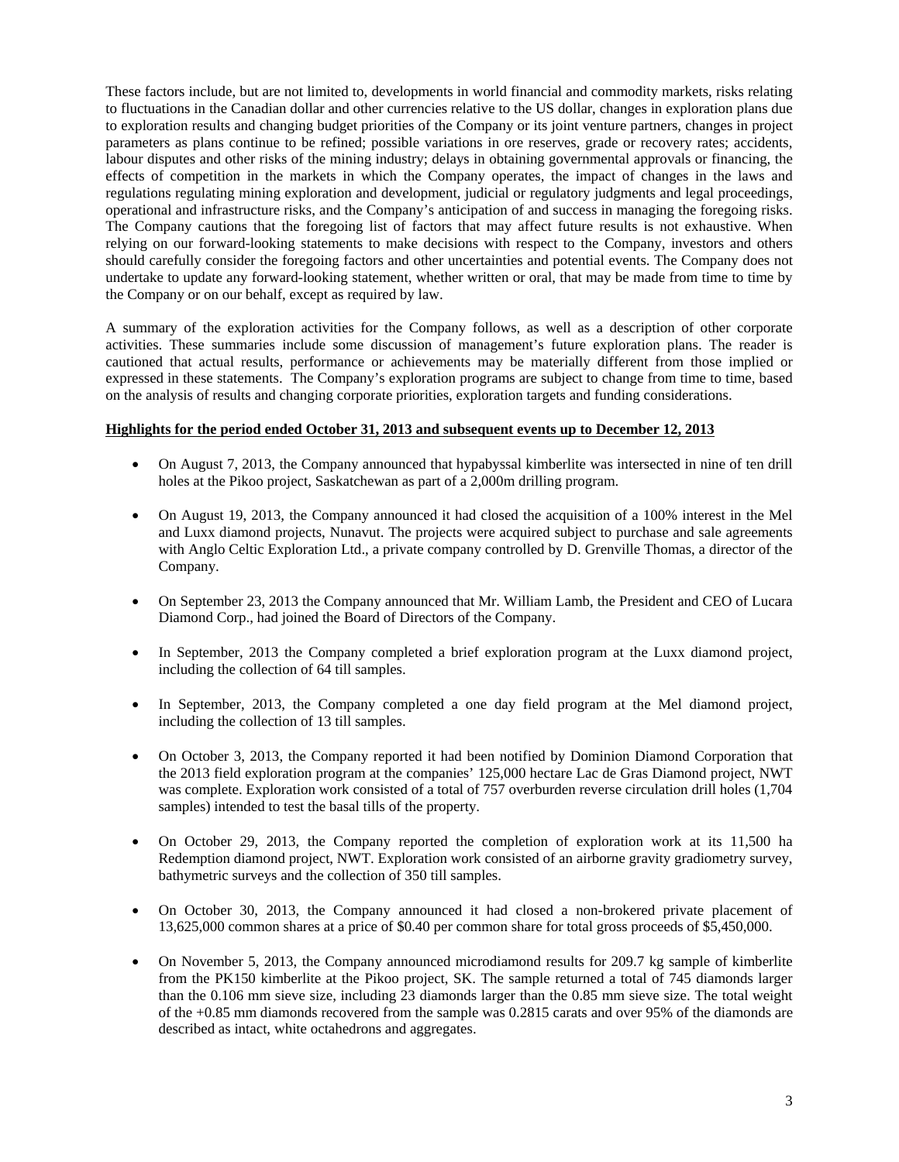These factors include, but are not limited to, developments in world financial and commodity markets, risks relating to fluctuations in the Canadian dollar and other currencies relative to the US dollar, changes in exploration plans due to exploration results and changing budget priorities of the Company or its joint venture partners, changes in project parameters as plans continue to be refined; possible variations in ore reserves, grade or recovery rates; accidents, labour disputes and other risks of the mining industry; delays in obtaining governmental approvals or financing, the effects of competition in the markets in which the Company operates, the impact of changes in the laws and regulations regulating mining exploration and development, judicial or regulatory judgments and legal proceedings, operational and infrastructure risks, and the Company's anticipation of and success in managing the foregoing risks. The Company cautions that the foregoing list of factors that may affect future results is not exhaustive. When relying on our forward-looking statements to make decisions with respect to the Company, investors and others should carefully consider the foregoing factors and other uncertainties and potential events. The Company does not undertake to update any forward-looking statement, whether written or oral, that may be made from time to time by the Company or on our behalf, except as required by law.

A summary of the exploration activities for the Company follows, as well as a description of other corporate activities. These summaries include some discussion of management's future exploration plans. The reader is cautioned that actual results, performance or achievements may be materially different from those implied or expressed in these statements. The Company's exploration programs are subject to change from time to time, based on the analysis of results and changing corporate priorities, exploration targets and funding considerations.

# **Highlights for the period ended October 31, 2013 and subsequent events up to December 12, 2013**

- On August 7, 2013, the Company announced that hypabyssal kimberlite was intersected in nine of ten drill holes at the Pikoo project, Saskatchewan as part of a 2,000m drilling program.
- On August 19, 2013, the Company announced it had closed the acquisition of a 100% interest in the Mel and Luxx diamond projects, Nunavut. The projects were acquired subject to purchase and sale agreements with Anglo Celtic Exploration Ltd., a private company controlled by D. Grenville Thomas, a director of the Company.
- On September 23, 2013 the Company announced that Mr. William Lamb, the President and CEO of Lucara Diamond Corp., had joined the Board of Directors of the Company.
- In September, 2013 the Company completed a brief exploration program at the Luxx diamond project, including the collection of 64 till samples.
- In September, 2013, the Company completed a one day field program at the Mel diamond project, including the collection of 13 till samples.
- On October 3, 2013, the Company reported it had been notified by Dominion Diamond Corporation that the 2013 field exploration program at the companies' 125,000 hectare Lac de Gras Diamond project, NWT was complete. Exploration work consisted of a total of 757 overburden reverse circulation drill holes (1,704 samples) intended to test the basal tills of the property.
- On October 29, 2013, the Company reported the completion of exploration work at its 11,500 ha Redemption diamond project, NWT. Exploration work consisted of an airborne gravity gradiometry survey, bathymetric surveys and the collection of 350 till samples.
- On October 30, 2013, the Company announced it had closed a non-brokered private placement of 13,625,000 common shares at a price of \$0.40 per common share for total gross proceeds of \$5,450,000.
- On November 5, 2013, the Company announced microdiamond results for 209.7 kg sample of kimberlite from the PK150 kimberlite at the Pikoo project, SK. The sample returned a total of 745 diamonds larger than the 0.106 mm sieve size, including 23 diamonds larger than the 0.85 mm sieve size. The total weight of the +0.85 mm diamonds recovered from the sample was 0.2815 carats and over 95% of the diamonds are described as intact, white octahedrons and aggregates.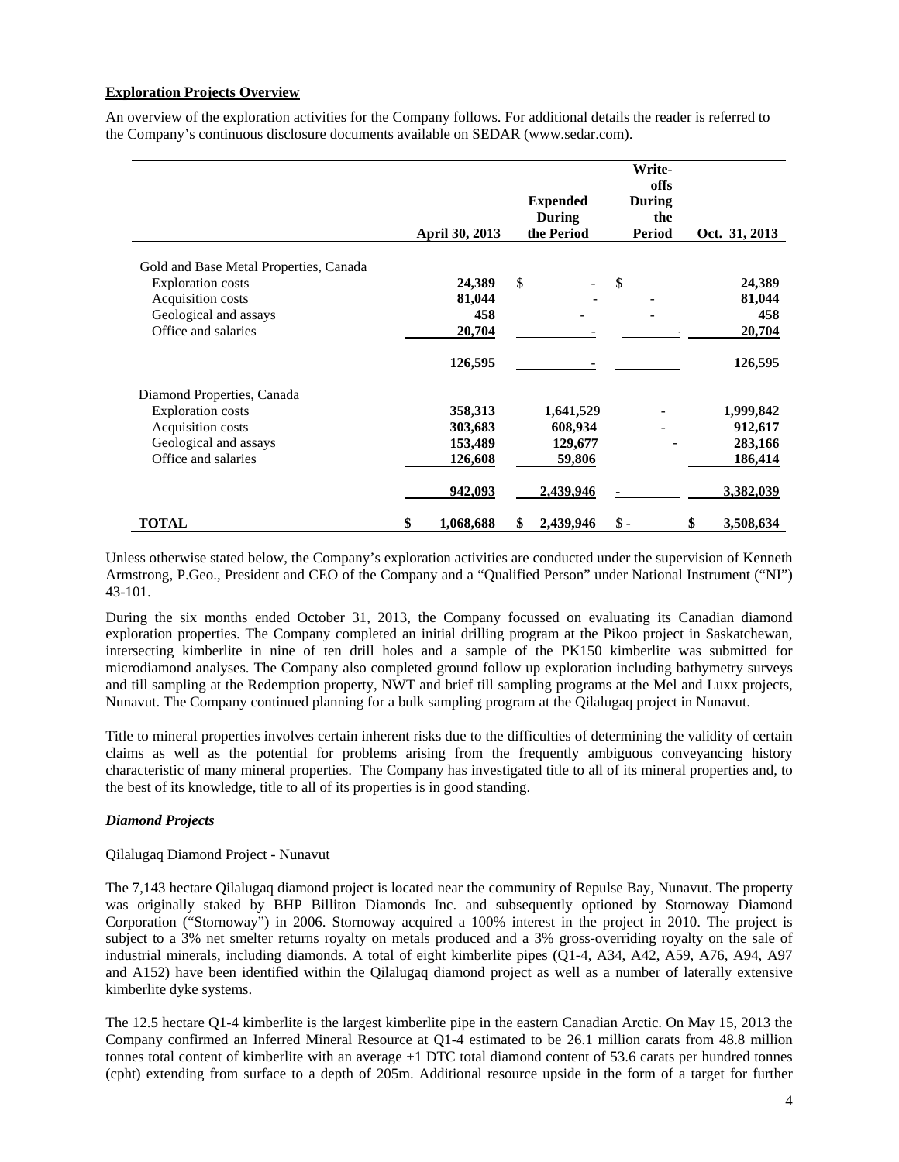# **Exploration Projects Overview**

An overview of the exploration activities for the Company follows. For additional details the reader is referred to the Company's continuous disclosure documents available on SEDAR (www.sedar.com).

|                                                                                                                                         | April 30, 2013                    | <b>Expended</b><br>During<br>the Period |       | Write-<br>offs<br>During<br>the<br><b>Period</b> | Oct. 31, 2013                     |
|-----------------------------------------------------------------------------------------------------------------------------------------|-----------------------------------|-----------------------------------------|-------|--------------------------------------------------|-----------------------------------|
| Gold and Base Metal Properties, Canada<br><b>Exploration</b> costs<br>Acquisition costs<br>Geological and assays<br>Office and salaries | 24,389<br>81,044<br>458<br>20,704 | \$                                      | \$    |                                                  | 24,389<br>81,044<br>458<br>20,704 |
|                                                                                                                                         | 126,595                           |                                         |       |                                                  | 126,595                           |
| Diamond Properties, Canada                                                                                                              |                                   |                                         |       |                                                  |                                   |
| <b>Exploration</b> costs                                                                                                                | 358,313                           | 1,641,529                               |       |                                                  | 1,999,842                         |
| Acquisition costs                                                                                                                       | 303,683                           | 608,934                                 |       |                                                  | 912,617                           |
| Geological and assays                                                                                                                   | 153,489                           | 129,677                                 |       |                                                  | 283,166                           |
| Office and salaries                                                                                                                     | 126,608                           | 59,806                                  |       |                                                  | 186,414                           |
|                                                                                                                                         | 942,093                           | 2,439,946                               |       |                                                  | 3,382,039                         |
| <b>TOTAL</b>                                                                                                                            | \$<br>1,068,688                   | \$<br>2,439,946                         | $\$ - |                                                  | \$<br>3,508,634                   |

Unless otherwise stated below, the Company's exploration activities are conducted under the supervision of Kenneth Armstrong, P.Geo., President and CEO of the Company and a "Qualified Person" under National Instrument ("NI") 43-101.

During the six months ended October 31, 2013, the Company focussed on evaluating its Canadian diamond exploration properties. The Company completed an initial drilling program at the Pikoo project in Saskatchewan, intersecting kimberlite in nine of ten drill holes and a sample of the PK150 kimberlite was submitted for microdiamond analyses. The Company also completed ground follow up exploration including bathymetry surveys and till sampling at the Redemption property, NWT and brief till sampling programs at the Mel and Luxx projects, Nunavut. The Company continued planning for a bulk sampling program at the Qilalugaq project in Nunavut.

Title to mineral properties involves certain inherent risks due to the difficulties of determining the validity of certain claims as well as the potential for problems arising from the frequently ambiguous conveyancing history characteristic of many mineral properties. The Company has investigated title to all of its mineral properties and, to the best of its knowledge, title to all of its properties is in good standing.

# *Diamond Projects*

#### Qilalugaq Diamond Project - Nunavut

The 7,143 hectare Qilalugaq diamond project is located near the community of Repulse Bay, Nunavut. The property was originally staked by BHP Billiton Diamonds Inc. and subsequently optioned by Stornoway Diamond Corporation ("Stornoway") in 2006. Stornoway acquired a 100% interest in the project in 2010. The project is subject to a 3% net smelter returns royalty on metals produced and a 3% gross-overriding royalty on the sale of industrial minerals, including diamonds. A total of eight kimberlite pipes (Q1-4, A34, A42, A59, A76, A94, A97 and A152) have been identified within the Qilalugaq diamond project as well as a number of laterally extensive kimberlite dyke systems.

The 12.5 hectare Q1-4 kimberlite is the largest kimberlite pipe in the eastern Canadian Arctic. On May 15, 2013 the Company confirmed an Inferred Mineral Resource at Q1-4 estimated to be 26.1 million carats from 48.8 million tonnes total content of kimberlite with an average +1 DTC total diamond content of 53.6 carats per hundred tonnes (cpht) extending from surface to a depth of 205m. Additional resource upside in the form of a target for further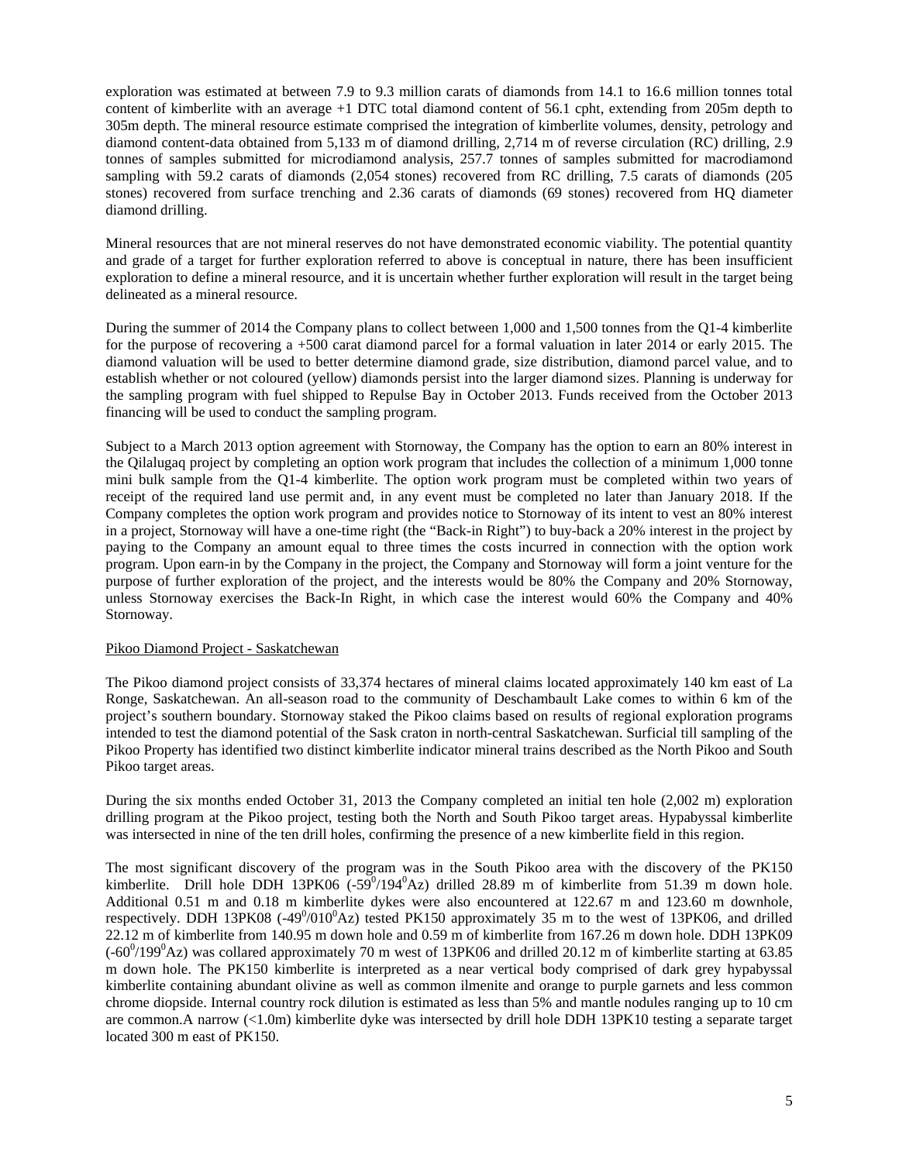exploration was estimated at between 7.9 to 9.3 million carats of diamonds from 14.1 to 16.6 million tonnes total content of kimberlite with an average +1 DTC total diamond content of 56.1 cpht, extending from 205m depth to 305m depth. The mineral resource estimate comprised the integration of kimberlite volumes, density, petrology and diamond content-data obtained from 5,133 m of diamond drilling, 2,714 m of reverse circulation (RC) drilling, 2.9 tonnes of samples submitted for microdiamond analysis, 257.7 tonnes of samples submitted for macrodiamond sampling with 59.2 carats of diamonds (2,054 stones) recovered from RC drilling, 7.5 carats of diamonds (205 stones) recovered from surface trenching and 2.36 carats of diamonds (69 stones) recovered from HQ diameter diamond drilling.

Mineral resources that are not mineral reserves do not have demonstrated economic viability. The potential quantity and grade of a target for further exploration referred to above is conceptual in nature, there has been insufficient exploration to define a mineral resource, and it is uncertain whether further exploration will result in the target being delineated as a mineral resource.

During the summer of 2014 the Company plans to collect between 1,000 and 1,500 tonnes from the Q1-4 kimberlite for the purpose of recovering a +500 carat diamond parcel for a formal valuation in later 2014 or early 2015. The diamond valuation will be used to better determine diamond grade, size distribution, diamond parcel value, and to establish whether or not coloured (yellow) diamonds persist into the larger diamond sizes. Planning is underway for the sampling program with fuel shipped to Repulse Bay in October 2013. Funds received from the October 2013 financing will be used to conduct the sampling program.

Subject to a March 2013 option agreement with Stornoway, the Company has the option to earn an 80% interest in the Qilalugaq project by completing an option work program that includes the collection of a minimum 1,000 tonne mini bulk sample from the Q1-4 kimberlite. The option work program must be completed within two years of receipt of the required land use permit and, in any event must be completed no later than January 2018. If the Company completes the option work program and provides notice to Stornoway of its intent to vest an 80% interest in a project, Stornoway will have a one-time right (the "Back-in Right") to buy-back a 20% interest in the project by paying to the Company an amount equal to three times the costs incurred in connection with the option work program. Upon earn-in by the Company in the project, the Company and Stornoway will form a joint venture for the purpose of further exploration of the project, and the interests would be 80% the Company and 20% Stornoway, unless Stornoway exercises the Back-In Right, in which case the interest would 60% the Company and 40% Stornoway.

# Pikoo Diamond Project - Saskatchewan

The Pikoo diamond project consists of 33,374 hectares of mineral claims located approximately 140 km east of La Ronge, Saskatchewan. An all-season road to the community of Deschambault Lake comes to within 6 km of the project's southern boundary. Stornoway staked the Pikoo claims based on results of regional exploration programs intended to test the diamond potential of the Sask craton in north-central Saskatchewan. Surficial till sampling of the Pikoo Property has identified two distinct kimberlite indicator mineral trains described as the North Pikoo and South Pikoo target areas.

During the six months ended October 31, 2013 the Company completed an initial ten hole (2,002 m) exploration drilling program at the Pikoo project, testing both the North and South Pikoo target areas. Hypabyssal kimberlite was intersected in nine of the ten drill holes, confirming the presence of a new kimberlite field in this region.

The most significant discovery of the program was in the South Pikoo area with the discovery of the PK150 kimberlite. Drill hole DDH 13PK06  $(-59^0/194^0)$ Az) drilled 28.89 m of kimberlite from 51.39 m down hole. Additional 0.51 m and 0.18 m kimberlite dykes were also encountered at 122.67 m and 123.60 m downhole, respectively. DDH 13PK08  $(-49^0/010^0)$ Az) tested PK150 approximately 35 m to the west of 13PK06, and drilled 22.12 m of kimberlite from 140.95 m down hole and 0.59 m of kimberlite from 167.26 m down hole. DDH 13PK09  $(-60^0/199^0)$ Az) was collared approximately 70 m west of 13PK06 and drilled 20.12 m of kimberlite starting at 63.85 m down hole. The PK150 kimberlite is interpreted as a near vertical body comprised of dark grey hypabyssal kimberlite containing abundant olivine as well as common ilmenite and orange to purple garnets and less common chrome diopside. Internal country rock dilution is estimated as less than 5% and mantle nodules ranging up to 10 cm are common.A narrow (<1.0m) kimberlite dyke was intersected by drill hole DDH 13PK10 testing a separate target located 300 m east of PK150.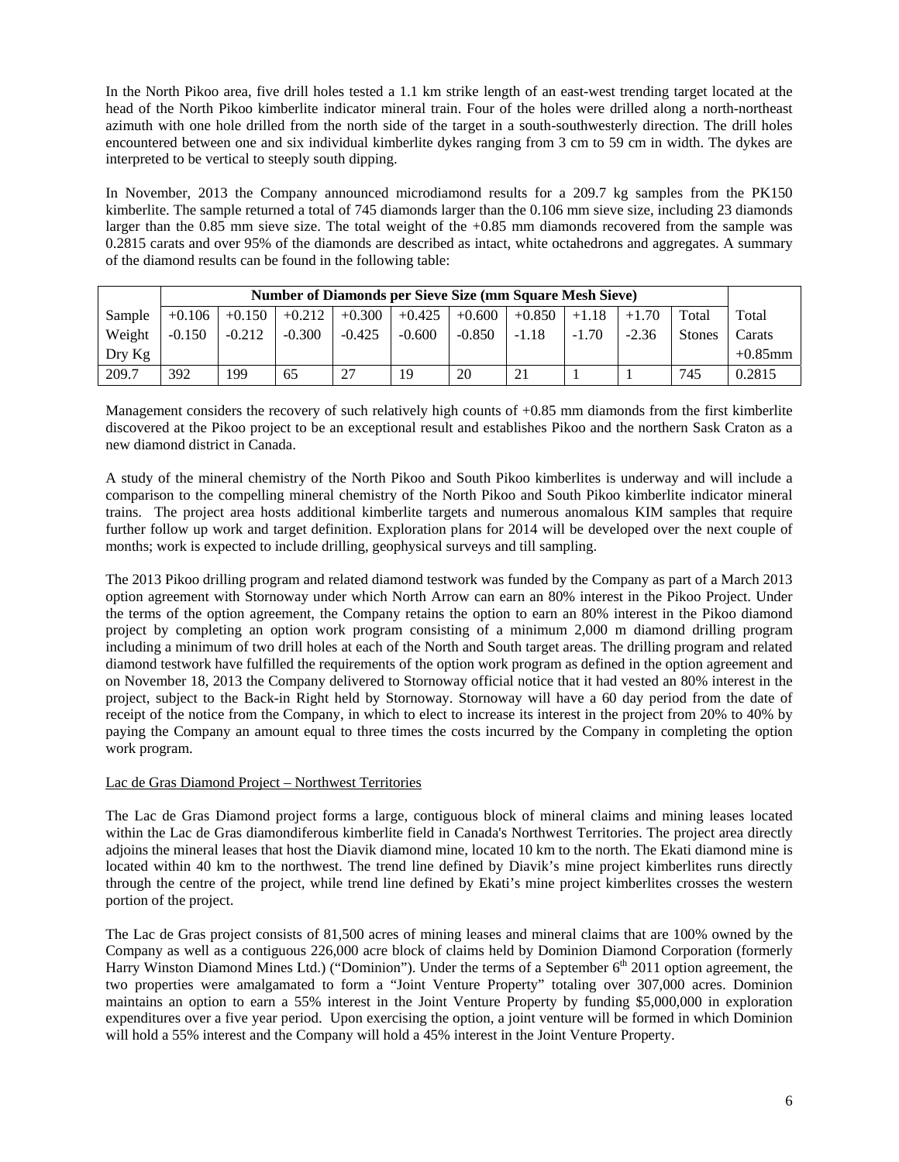In the North Pikoo area, five drill holes tested a 1.1 km strike length of an east-west trending target located at the head of the North Pikoo kimberlite indicator mineral train. Four of the holes were drilled along a north-northeast azimuth with one hole drilled from the north side of the target in a south-southwesterly direction. The drill holes encountered between one and six individual kimberlite dykes ranging from 3 cm to 59 cm in width. The dykes are interpreted to be vertical to steeply south dipping.

In November, 2013 the Company announced microdiamond results for a 209.7 kg samples from the PK150 kimberlite. The sample returned a total of 745 diamonds larger than the 0.106 mm sieve size, including 23 diamonds larger than the 0.85 mm sieve size. The total weight of the +0.85 mm diamonds recovered from the sample was 0.2815 carats and over 95% of the diamonds are described as intact, white octahedrons and aggregates. A summary of the diamond results can be found in the following table:

|                  | <b>Number of Diamonds per Sieve Size (mm Square Mesh Sieve)</b> |          |          |          |          |          |          |         |         |               |            |
|------------------|-----------------------------------------------------------------|----------|----------|----------|----------|----------|----------|---------|---------|---------------|------------|
| Sample           | $+0.106$                                                        | $+0.150$ | $+0.212$ | $+0.300$ | $+0.425$ | $+0.600$ | $+0.850$ | $+1.18$ | $+1.70$ | Total         | Total      |
| Weight           | $-0.150$                                                        | $-0.212$ | $-0.300$ | $-0.425$ | $-0.600$ | $-0.850$ | $-1.18$  | $-1.70$ | $-2.36$ | <b>Stones</b> | Carats     |
| $_{\rm{Dry~Kg}}$ |                                                                 |          |          |          |          |          |          |         |         |               | $+0.85$ mm |
| 209.7            | 392                                                             | 199      | 65       | 27       | 19       | 20       | 21       |         |         | 745           | 0.2815     |

Management considers the recovery of such relatively high counts of +0.85 mm diamonds from the first kimberlite discovered at the Pikoo project to be an exceptional result and establishes Pikoo and the northern Sask Craton as a new diamond district in Canada.

A study of the mineral chemistry of the North Pikoo and South Pikoo kimberlites is underway and will include a comparison to the compelling mineral chemistry of the North Pikoo and South Pikoo kimberlite indicator mineral trains. The project area hosts additional kimberlite targets and numerous anomalous KIM samples that require further follow up work and target definition. Exploration plans for 2014 will be developed over the next couple of months; work is expected to include drilling, geophysical surveys and till sampling.

The 2013 Pikoo drilling program and related diamond testwork was funded by the Company as part of a March 2013 option agreement with Stornoway under which North Arrow can earn an 80% interest in the Pikoo Project. Under the terms of the option agreement, the Company retains the option to earn an 80% interest in the Pikoo diamond project by completing an option work program consisting of a minimum 2,000 m diamond drilling program including a minimum of two drill holes at each of the North and South target areas. The drilling program and related diamond testwork have fulfilled the requirements of the option work program as defined in the option agreement and on November 18, 2013 the Company delivered to Stornoway official notice that it had vested an 80% interest in the project, subject to the Back-in Right held by Stornoway. Stornoway will have a 60 day period from the date of receipt of the notice from the Company, in which to elect to increase its interest in the project from 20% to 40% by paying the Company an amount equal to three times the costs incurred by the Company in completing the option work program.

# Lac de Gras Diamond Project – Northwest Territories

The Lac de Gras Diamond project forms a large, contiguous block of mineral claims and mining leases located within the Lac de Gras diamondiferous kimberlite field in Canada's Northwest Territories. The project area directly adjoins the mineral leases that host the Diavik diamond mine, located 10 km to the north. The Ekati diamond mine is located within 40 km to the northwest. The trend line defined by Diavik's mine project kimberlites runs directly through the centre of the project, while trend line defined by Ekati's mine project kimberlites crosses the western portion of the project.

The Lac de Gras project consists of 81,500 acres of mining leases and mineral claims that are 100% owned by the Company as well as a contiguous 226,000 acre block of claims held by Dominion Diamond Corporation (formerly Harry Winston Diamond Mines Ltd.) ("Dominion"). Under the terms of a September 6<sup>th</sup> 2011 option agreement, the two properties were amalgamated to form a "Joint Venture Property" totaling over 307,000 acres. Dominion maintains an option to earn a 55% interest in the Joint Venture Property by funding \$5,000,000 in exploration expenditures over a five year period. Upon exercising the option, a joint venture will be formed in which Dominion will hold a 55% interest and the Company will hold a 45% interest in the Joint Venture Property.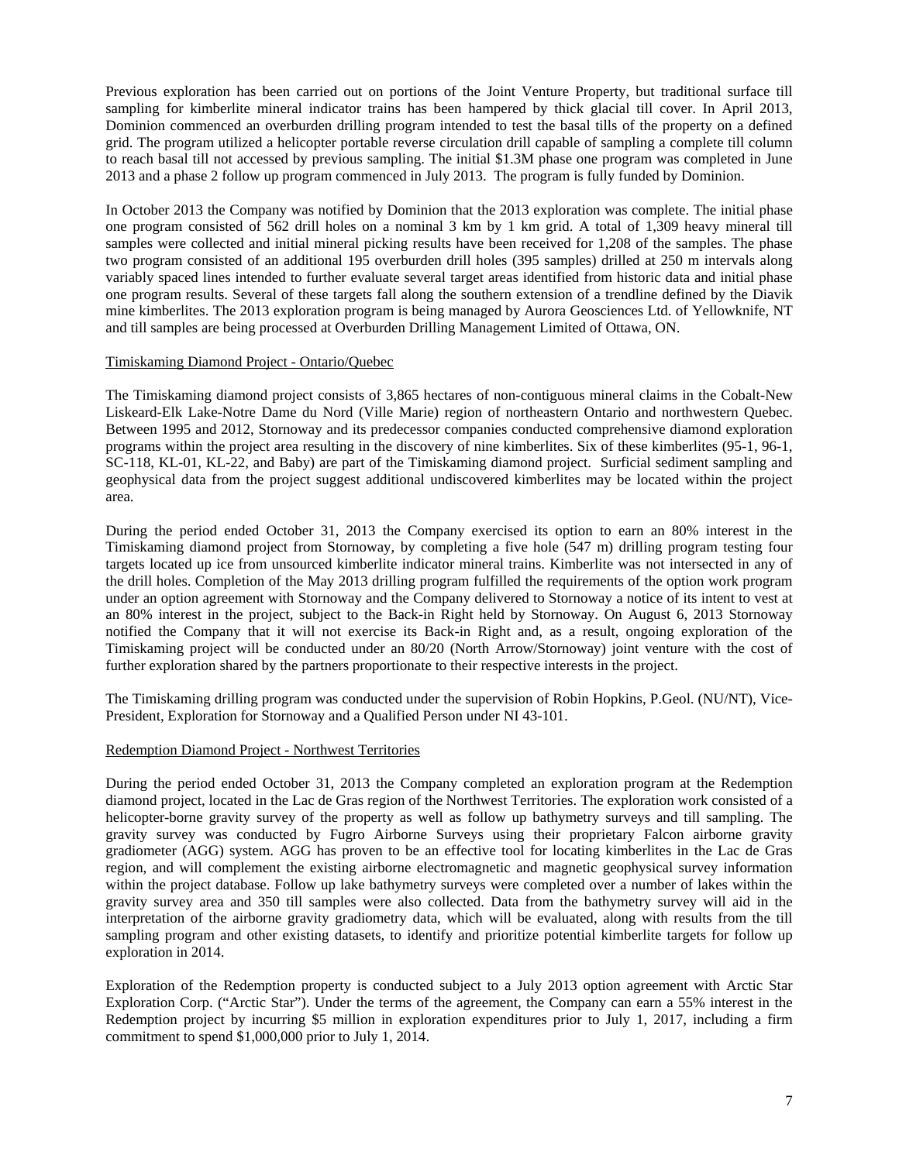Previous exploration has been carried out on portions of the Joint Venture Property, but traditional surface till sampling for kimberlite mineral indicator trains has been hampered by thick glacial till cover. In April 2013, Dominion commenced an overburden drilling program intended to test the basal tills of the property on a defined grid. The program utilized a helicopter portable reverse circulation drill capable of sampling a complete till column to reach basal till not accessed by previous sampling. The initial \$1.3M phase one program was completed in June 2013 and a phase 2 follow up program commenced in July 2013. The program is fully funded by Dominion.

In October 2013 the Company was notified by Dominion that the 2013 exploration was complete. The initial phase one program consisted of 562 drill holes on a nominal 3 km by 1 km grid. A total of 1,309 heavy mineral till samples were collected and initial mineral picking results have been received for 1,208 of the samples. The phase two program consisted of an additional 195 overburden drill holes (395 samples) drilled at 250 m intervals along variably spaced lines intended to further evaluate several target areas identified from historic data and initial phase one program results. Several of these targets fall along the southern extension of a trendline defined by the Diavik mine kimberlites. The 2013 exploration program is being managed by Aurora Geosciences Ltd. of Yellowknife, NT and till samples are being processed at Overburden Drilling Management Limited of Ottawa, ON.

# Timiskaming Diamond Project - Ontario/Quebec

The Timiskaming diamond project consists of 3,865 hectares of non-contiguous mineral claims in the Cobalt-New Liskeard-Elk Lake-Notre Dame du Nord (Ville Marie) region of northeastern Ontario and northwestern Quebec. Between 1995 and 2012, Stornoway and its predecessor companies conducted comprehensive diamond exploration programs within the project area resulting in the discovery of nine kimberlites. Six of these kimberlites (95-1, 96-1, SC-118, KL-01, KL-22, and Baby) are part of the Timiskaming diamond project. Surficial sediment sampling and geophysical data from the project suggest additional undiscovered kimberlites may be located within the project area.

During the period ended October 31, 2013 the Company exercised its option to earn an 80% interest in the Timiskaming diamond project from Stornoway, by completing a five hole (547 m) drilling program testing four targets located up ice from unsourced kimberlite indicator mineral trains. Kimberlite was not intersected in any of the drill holes. Completion of the May 2013 drilling program fulfilled the requirements of the option work program under an option agreement with Stornoway and the Company delivered to Stornoway a notice of its intent to vest at an 80% interest in the project, subject to the Back-in Right held by Stornoway. On August 6, 2013 Stornoway notified the Company that it will not exercise its Back-in Right and, as a result, ongoing exploration of the Timiskaming project will be conducted under an 80/20 (North Arrow/Stornoway) joint venture with the cost of further exploration shared by the partners proportionate to their respective interests in the project.

The Timiskaming drilling program was conducted under the supervision of Robin Hopkins, P.Geol. (NU/NT), Vice-President, Exploration for Stornoway and a Qualified Person under NI 43-101.

#### Redemption Diamond Project - Northwest Territories

During the period ended October 31, 2013 the Company completed an exploration program at the Redemption diamond project, located in the Lac de Gras region of the Northwest Territories. The exploration work consisted of a helicopter-borne gravity survey of the property as well as follow up bathymetry surveys and till sampling. The gravity survey was conducted by Fugro Airborne Surveys using their proprietary Falcon airborne gravity gradiometer (AGG) system. AGG has proven to be an effective tool for locating kimberlites in the Lac de Gras region, and will complement the existing airborne electromagnetic and magnetic geophysical survey information within the project database. Follow up lake bathymetry surveys were completed over a number of lakes within the gravity survey area and 350 till samples were also collected. Data from the bathymetry survey will aid in the interpretation of the airborne gravity gradiometry data, which will be evaluated, along with results from the till sampling program and other existing datasets, to identify and prioritize potential kimberlite targets for follow up exploration in 2014.

Exploration of the Redemption property is conducted subject to a July 2013 option agreement with Arctic Star Exploration Corp. ("Arctic Star"). Under the terms of the agreement, the Company can earn a 55% interest in the Redemption project by incurring \$5 million in exploration expenditures prior to July 1, 2017, including a firm commitment to spend \$1,000,000 prior to July 1, 2014.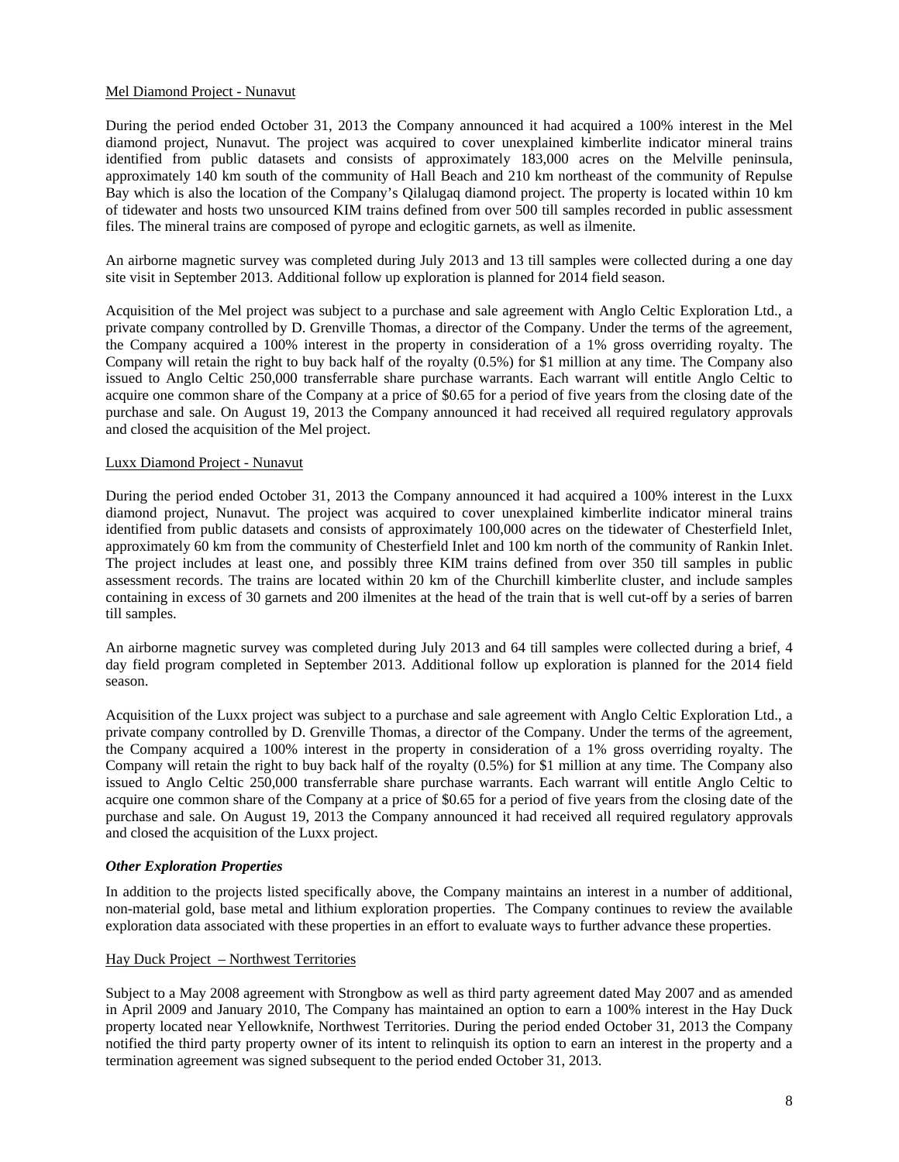# Mel Diamond Project - Nunavut

During the period ended October 31, 2013 the Company announced it had acquired a 100% interest in the Mel diamond project, Nunavut. The project was acquired to cover unexplained kimberlite indicator mineral trains identified from public datasets and consists of approximately 183,000 acres on the Melville peninsula, approximately 140 km south of the community of Hall Beach and 210 km northeast of the community of Repulse Bay which is also the location of the Company's Qilalugaq diamond project. The property is located within 10 km of tidewater and hosts two unsourced KIM trains defined from over 500 till samples recorded in public assessment files. The mineral trains are composed of pyrope and eclogitic garnets, as well as ilmenite.

An airborne magnetic survey was completed during July 2013 and 13 till samples were collected during a one day site visit in September 2013. Additional follow up exploration is planned for 2014 field season.

Acquisition of the Mel project was subject to a purchase and sale agreement with Anglo Celtic Exploration Ltd., a private company controlled by D. Grenville Thomas, a director of the Company. Under the terms of the agreement, the Company acquired a 100% interest in the property in consideration of a 1% gross overriding royalty. The Company will retain the right to buy back half of the royalty (0.5%) for \$1 million at any time. The Company also issued to Anglo Celtic 250,000 transferrable share purchase warrants. Each warrant will entitle Anglo Celtic to acquire one common share of the Company at a price of \$0.65 for a period of five years from the closing date of the purchase and sale. On August 19, 2013 the Company announced it had received all required regulatory approvals and closed the acquisition of the Mel project.

# Luxx Diamond Project - Nunavut

During the period ended October 31, 2013 the Company announced it had acquired a 100% interest in the Luxx diamond project, Nunavut. The project was acquired to cover unexplained kimberlite indicator mineral trains identified from public datasets and consists of approximately 100,000 acres on the tidewater of Chesterfield Inlet, approximately 60 km from the community of Chesterfield Inlet and 100 km north of the community of Rankin Inlet. The project includes at least one, and possibly three KIM trains defined from over 350 till samples in public assessment records. The trains are located within 20 km of the Churchill kimberlite cluster, and include samples containing in excess of 30 garnets and 200 ilmenites at the head of the train that is well cut-off by a series of barren till samples.

An airborne magnetic survey was completed during July 2013 and 64 till samples were collected during a brief, 4 day field program completed in September 2013. Additional follow up exploration is planned for the 2014 field season.

Acquisition of the Luxx project was subject to a purchase and sale agreement with Anglo Celtic Exploration Ltd., a private company controlled by D. Grenville Thomas, a director of the Company. Under the terms of the agreement, the Company acquired a 100% interest in the property in consideration of a 1% gross overriding royalty. The Company will retain the right to buy back half of the royalty (0.5%) for \$1 million at any time. The Company also issued to Anglo Celtic 250,000 transferrable share purchase warrants. Each warrant will entitle Anglo Celtic to acquire one common share of the Company at a price of \$0.65 for a period of five years from the closing date of the purchase and sale. On August 19, 2013 the Company announced it had received all required regulatory approvals and closed the acquisition of the Luxx project.

# *Other Exploration Properties*

In addition to the projects listed specifically above, the Company maintains an interest in a number of additional, non-material gold, base metal and lithium exploration properties. The Company continues to review the available exploration data associated with these properties in an effort to evaluate ways to further advance these properties.

#### Hay Duck Project – Northwest Territories

Subject to a May 2008 agreement with Strongbow as well as third party agreement dated May 2007 and as amended in April 2009 and January 2010, The Company has maintained an option to earn a 100% interest in the Hay Duck property located near Yellowknife, Northwest Territories. During the period ended October 31, 2013 the Company notified the third party property owner of its intent to relinquish its option to earn an interest in the property and a termination agreement was signed subsequent to the period ended October 31, 2013.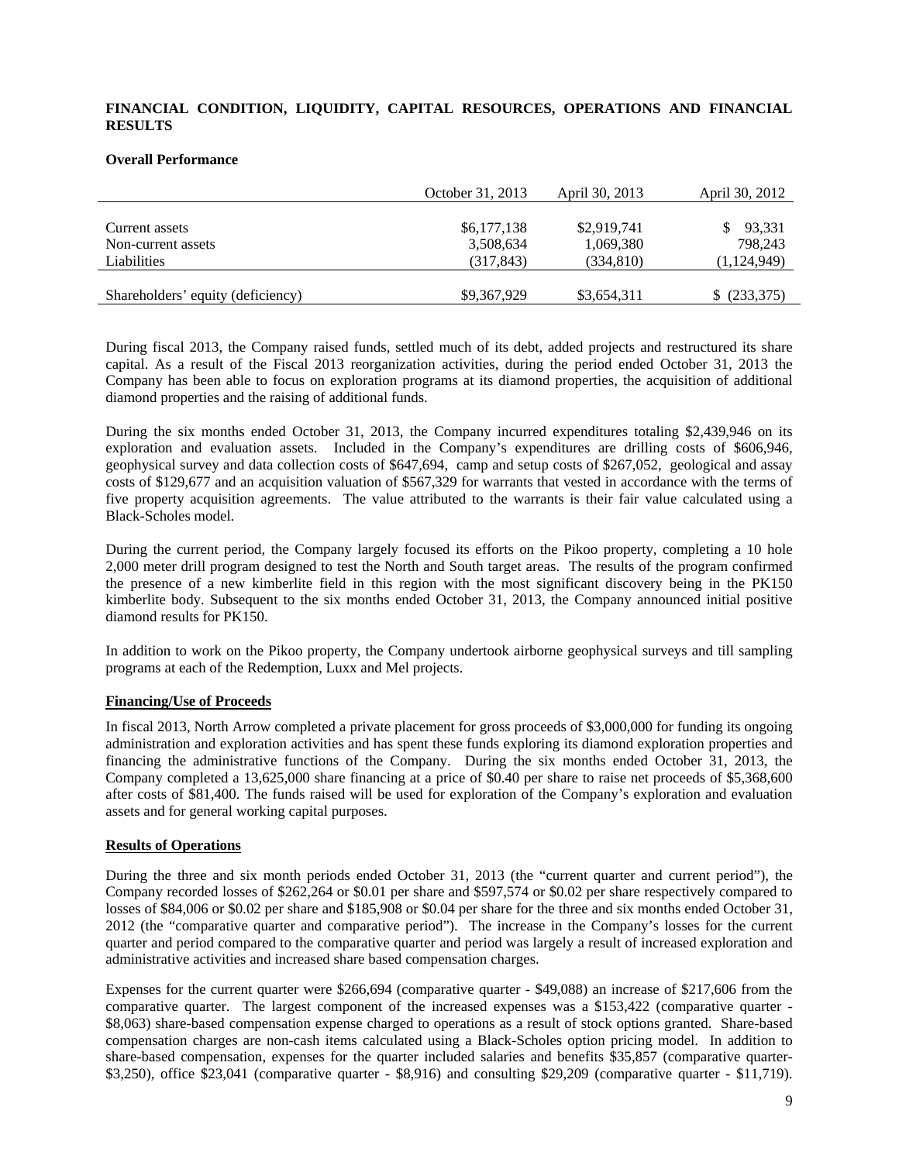# **FINANCIAL CONDITION, LIQUIDITY, CAPITAL RESOURCES, OPERATIONS AND FINANCIAL RESULTS**

#### **Overall Performance**

|                                   | October 31, 2013 | April 30, 2013 | April 30, 2012 |
|-----------------------------------|------------------|----------------|----------------|
|                                   |                  |                |                |
| Current assets                    | \$6,177,138      | \$2,919,741    | 93,331         |
| Non-current assets                | 3,508,634        | 1,069,380      | 798,243        |
| Liabilities                       | (317, 843)       | (334, 810)     | (1, 124, 949)  |
|                                   |                  |                |                |
| Shareholders' equity (deficiency) | \$9,367,929      | \$3,654,311    | \$ (233,375)   |

During fiscal 2013, the Company raised funds, settled much of its debt, added projects and restructured its share capital. As a result of the Fiscal 2013 reorganization activities, during the period ended October 31, 2013 the Company has been able to focus on exploration programs at its diamond properties, the acquisition of additional diamond properties and the raising of additional funds.

During the six months ended October 31, 2013, the Company incurred expenditures totaling \$2,439,946 on its exploration and evaluation assets. Included in the Company's expenditures are drilling costs of \$606,946, geophysical survey and data collection costs of \$647,694, camp and setup costs of \$267,052, geological and assay costs of \$129,677 and an acquisition valuation of \$567,329 for warrants that vested in accordance with the terms of five property acquisition agreements. The value attributed to the warrants is their fair value calculated using a Black-Scholes model.

During the current period, the Company largely focused its efforts on the Pikoo property, completing a 10 hole 2,000 meter drill program designed to test the North and South target areas. The results of the program confirmed the presence of a new kimberlite field in this region with the most significant discovery being in the PK150 kimberlite body. Subsequent to the six months ended October 31, 2013, the Company announced initial positive diamond results for PK150.

In addition to work on the Pikoo property, the Company undertook airborne geophysical surveys and till sampling programs at each of the Redemption, Luxx and Mel projects.

# **Financing/Use of Proceeds**

In fiscal 2013, North Arrow completed a private placement for gross proceeds of \$3,000,000 for funding its ongoing administration and exploration activities and has spent these funds exploring its diamond exploration properties and financing the administrative functions of the Company. During the six months ended October 31, 2013, the Company completed a 13,625,000 share financing at a price of \$0.40 per share to raise net proceeds of \$5,368,600 after costs of \$81,400. The funds raised will be used for exploration of the Company's exploration and evaluation assets and for general working capital purposes.

#### **Results of Operations**

During the three and six month periods ended October 31, 2013 (the "current quarter and current period"), the Company recorded losses of \$262,264 or \$0.01 per share and \$597,574 or \$0.02 per share respectively compared to losses of \$84,006 or \$0.02 per share and \$185,908 or \$0.04 per share for the three and six months ended October 31, 2012 (the "comparative quarter and comparative period"). The increase in the Company's losses for the current quarter and period compared to the comparative quarter and period was largely a result of increased exploration and administrative activities and increased share based compensation charges.

Expenses for the current quarter were \$266,694 (comparative quarter - \$49,088) an increase of \$217,606 from the comparative quarter. The largest component of the increased expenses was a \$153,422 (comparative quarter - \$8,063) share-based compensation expense charged to operations as a result of stock options granted. Share-based compensation charges are non-cash items calculated using a Black-Scholes option pricing model. In addition to share-based compensation, expenses for the quarter included salaries and benefits \$35,857 (comparative quarter- \$3,250), office \$23,041 (comparative quarter - \$8,916) and consulting \$29,209 (comparative quarter - \$11,719).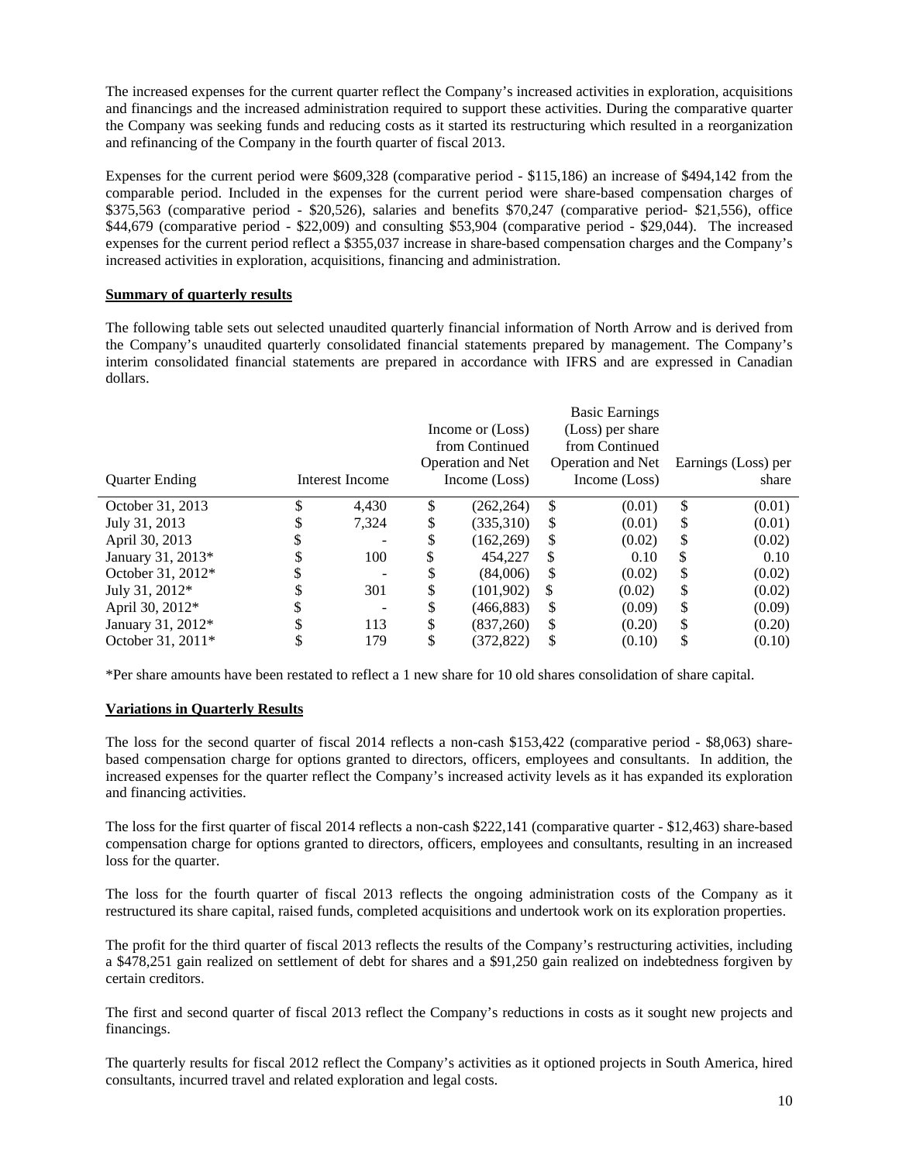The increased expenses for the current quarter reflect the Company's increased activities in exploration, acquisitions and financings and the increased administration required to support these activities. During the comparative quarter the Company was seeking funds and reducing costs as it started its restructuring which resulted in a reorganization and refinancing of the Company in the fourth quarter of fiscal 2013.

Expenses for the current period were \$609,328 (comparative period - \$115,186) an increase of \$494,142 from the comparable period. Included in the expenses for the current period were share-based compensation charges of \$375,563 (comparative period - \$20,526), salaries and benefits \$70,247 (comparative period- \$21,556), office \$44,679 (comparative period - \$22,009) and consulting \$53,904 (comparative period - \$29,044). The increased expenses for the current period reflect a \$355,037 increase in share-based compensation charges and the Company's increased activities in exploration, acquisitions, financing and administration.

# **Summary of quarterly results**

The following table sets out selected unaudited quarterly financial information of North Arrow and is derived from the Company's unaudited quarterly consolidated financial statements prepared by management. The Company's interim consolidated financial statements are prepared in accordance with IFRS and are expressed in Canadian dollars.

| <b>Quarter Ending</b> |   | Interest Income |    | Income or (Loss)<br>from Continued<br>Operation and Net<br>Income (Loss) |     | <b>Basic Earnings</b><br>(Loss) per share<br>from Continued<br>Operation and Net<br>Income (Loss) |    | Earnings (Loss) per<br>share |
|-----------------------|---|-----------------|----|--------------------------------------------------------------------------|-----|---------------------------------------------------------------------------------------------------|----|------------------------------|
| October 31, 2013      |   | 4,430           | \$ | (262, 264)                                                               | \$  | (0.01)                                                                                            | \$ | (0.01)                       |
| July 31, 2013         |   | 7.324           | \$ | (335,310)                                                                | \$  | (0.01)                                                                                            | \$ | (0.01)                       |
| April 30, 2013        |   |                 | \$ | (162, 269)                                                               | S   | (0.02)                                                                                            | \$ | (0.02)                       |
| January 31, 2013*     |   | 100             | S  | 454,227                                                                  | \$. | 0.10                                                                                              | S  | 0.10                         |
| October 31, 2012*     |   |                 | J  | (84,006)                                                                 | S   | (0.02)                                                                                            | \$ | (0.02)                       |
| July 31, 2012*        |   | 301             | S  | (101.902)                                                                | S   | (0.02)                                                                                            | S  | (0.02)                       |
| April 30, 2012*       | D |                 | \$ | (466, 883)                                                               | S   | (0.09)                                                                                            | \$ | (0.09)                       |
| January 31, 2012*     |   | 113             | \$ | (837.260)                                                                | S   | (0.20)                                                                                            | \$ | (0.20)                       |
| October 31, 2011*     |   | 179             | \$ | (372,822)                                                                | \$  | (0.10)                                                                                            | \$ | (0.10)                       |

\*Per share amounts have been restated to reflect a 1 new share for 10 old shares consolidation of share capital.

# **Variations in Quarterly Results**

The loss for the second quarter of fiscal 2014 reflects a non-cash \$153,422 (comparative period - \$8,063) sharebased compensation charge for options granted to directors, officers, employees and consultants. In addition, the increased expenses for the quarter reflect the Company's increased activity levels as it has expanded its exploration and financing activities.

The loss for the first quarter of fiscal 2014 reflects a non-cash \$222,141 (comparative quarter - \$12,463) share-based compensation charge for options granted to directors, officers, employees and consultants, resulting in an increased loss for the quarter.

The loss for the fourth quarter of fiscal 2013 reflects the ongoing administration costs of the Company as it restructured its share capital, raised funds, completed acquisitions and undertook work on its exploration properties.

The profit for the third quarter of fiscal 2013 reflects the results of the Company's restructuring activities, including a \$478,251 gain realized on settlement of debt for shares and a \$91,250 gain realized on indebtedness forgiven by certain creditors.

The first and second quarter of fiscal 2013 reflect the Company's reductions in costs as it sought new projects and financings.

The quarterly results for fiscal 2012 reflect the Company's activities as it optioned projects in South America, hired consultants, incurred travel and related exploration and legal costs.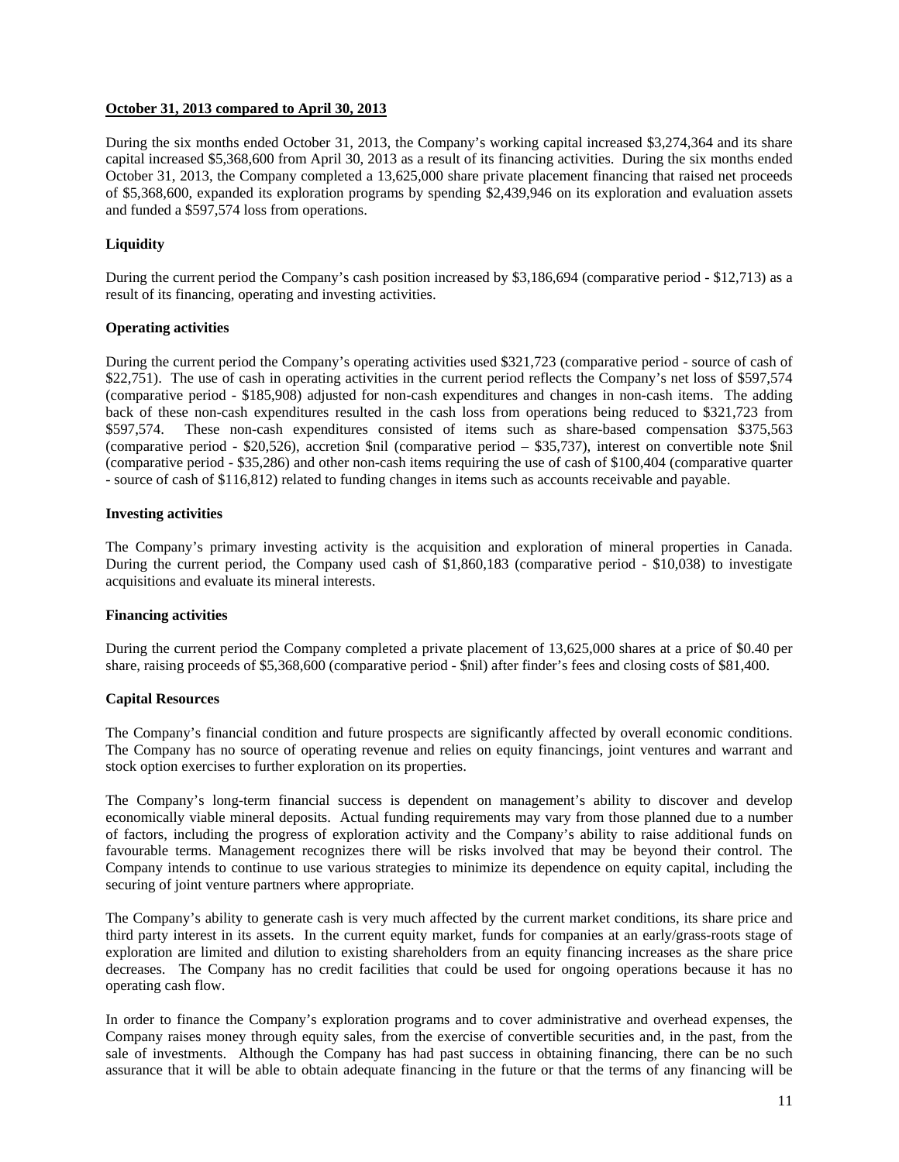# **October 31, 2013 compared to April 30, 2013**

During the six months ended October 31, 2013, the Company's working capital increased \$3,274,364 and its share capital increased \$5,368,600 from April 30, 2013 as a result of its financing activities. During the six months ended October 31, 2013, the Company completed a 13,625,000 share private placement financing that raised net proceeds of \$5,368,600, expanded its exploration programs by spending \$2,439,946 on its exploration and evaluation assets and funded a \$597,574 loss from operations.

# **Liquidity**

During the current period the Company's cash position increased by \$3,186,694 (comparative period - \$12,713) as a result of its financing, operating and investing activities.

# **Operating activities**

During the current period the Company's operating activities used \$321,723 (comparative period - source of cash of \$22,751). The use of cash in operating activities in the current period reflects the Company's net loss of \$597,574 (comparative period - \$185,908) adjusted for non-cash expenditures and changes in non-cash items. The adding back of these non-cash expenditures resulted in the cash loss from operations being reduced to \$321,723 from \$597,574. These non-cash expenditures consisted of items such as share-based compensation \$375,563 (comparative period - \$20,526), accretion \$nil (comparative period – \$35,737), interest on convertible note \$nil (comparative period - \$35,286) and other non-cash items requiring the use of cash of \$100,404 (comparative quarter - source of cash of \$116,812) related to funding changes in items such as accounts receivable and payable.

# **Investing activities**

The Company's primary investing activity is the acquisition and exploration of mineral properties in Canada. During the current period, the Company used cash of \$1,860,183 (comparative period - \$10,038) to investigate acquisitions and evaluate its mineral interests.

#### **Financing activities**

During the current period the Company completed a private placement of 13,625,000 shares at a price of \$0.40 per share, raising proceeds of \$5,368,600 (comparative period - \$nil) after finder's fees and closing costs of \$81,400.

#### **Capital Resources**

The Company's financial condition and future prospects are significantly affected by overall economic conditions. The Company has no source of operating revenue and relies on equity financings, joint ventures and warrant and stock option exercises to further exploration on its properties.

The Company's long-term financial success is dependent on management's ability to discover and develop economically viable mineral deposits. Actual funding requirements may vary from those planned due to a number of factors, including the progress of exploration activity and the Company's ability to raise additional funds on favourable terms. Management recognizes there will be risks involved that may be beyond their control. The Company intends to continue to use various strategies to minimize its dependence on equity capital, including the securing of joint venture partners where appropriate.

The Company's ability to generate cash is very much affected by the current market conditions, its share price and third party interest in its assets. In the current equity market, funds for companies at an early/grass-roots stage of exploration are limited and dilution to existing shareholders from an equity financing increases as the share price decreases. The Company has no credit facilities that could be used for ongoing operations because it has no operating cash flow.

In order to finance the Company's exploration programs and to cover administrative and overhead expenses, the Company raises money through equity sales, from the exercise of convertible securities and, in the past, from the sale of investments. Although the Company has had past success in obtaining financing, there can be no such assurance that it will be able to obtain adequate financing in the future or that the terms of any financing will be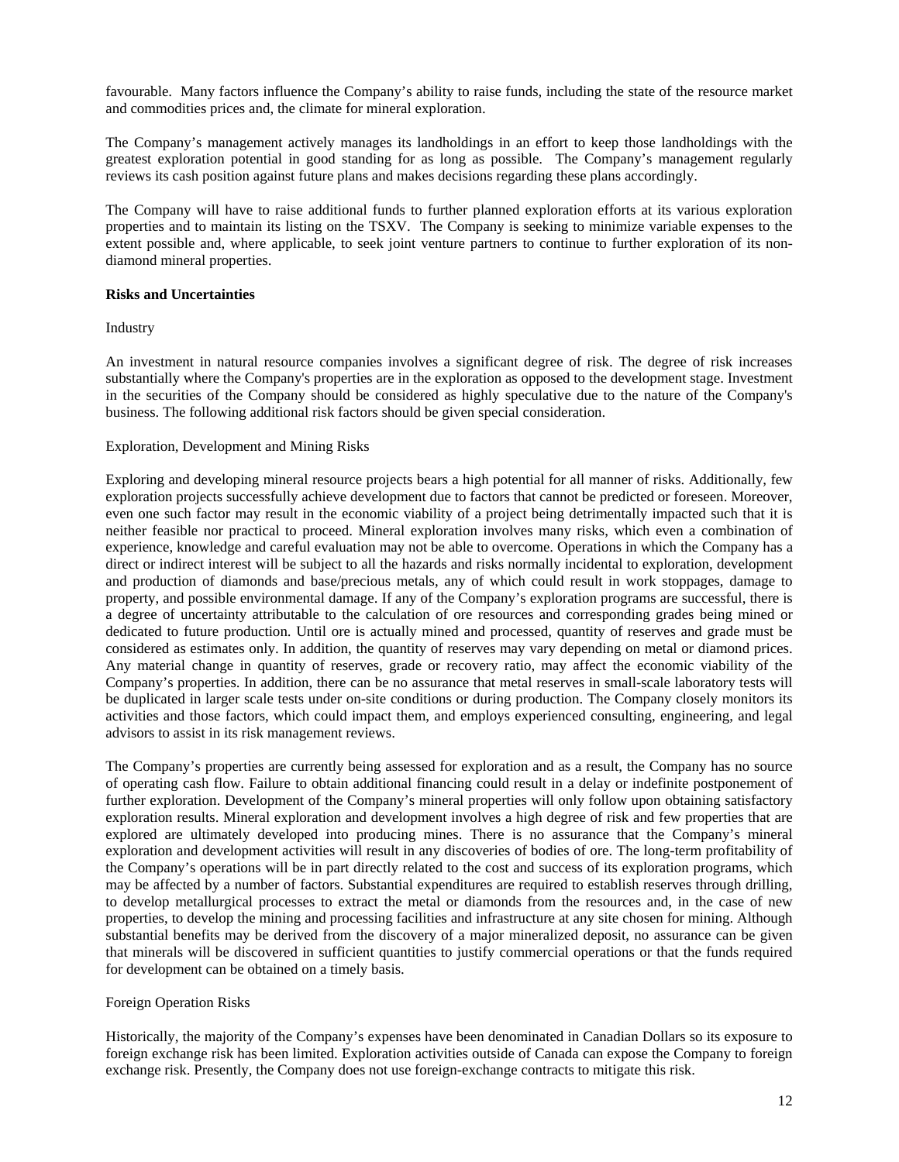favourable. Many factors influence the Company's ability to raise funds, including the state of the resource market and commodities prices and, the climate for mineral exploration.

The Company's management actively manages its landholdings in an effort to keep those landholdings with the greatest exploration potential in good standing for as long as possible. The Company's management regularly reviews its cash position against future plans and makes decisions regarding these plans accordingly.

The Company will have to raise additional funds to further planned exploration efforts at its various exploration properties and to maintain its listing on the TSXV. The Company is seeking to minimize variable expenses to the extent possible and, where applicable, to seek joint venture partners to continue to further exploration of its nondiamond mineral properties.

# **Risks and Uncertainties**

Industry

An investment in natural resource companies involves a significant degree of risk. The degree of risk increases substantially where the Company's properties are in the exploration as opposed to the development stage. Investment in the securities of the Company should be considered as highly speculative due to the nature of the Company's business. The following additional risk factors should be given special consideration.

# Exploration, Development and Mining Risks

Exploring and developing mineral resource projects bears a high potential for all manner of risks. Additionally, few exploration projects successfully achieve development due to factors that cannot be predicted or foreseen. Moreover, even one such factor may result in the economic viability of a project being detrimentally impacted such that it is neither feasible nor practical to proceed. Mineral exploration involves many risks, which even a combination of experience, knowledge and careful evaluation may not be able to overcome. Operations in which the Company has a direct or indirect interest will be subject to all the hazards and risks normally incidental to exploration, development and production of diamonds and base/precious metals, any of which could result in work stoppages, damage to property, and possible environmental damage. If any of the Company's exploration programs are successful, there is a degree of uncertainty attributable to the calculation of ore resources and corresponding grades being mined or dedicated to future production. Until ore is actually mined and processed, quantity of reserves and grade must be considered as estimates only. In addition, the quantity of reserves may vary depending on metal or diamond prices. Any material change in quantity of reserves, grade or recovery ratio, may affect the economic viability of the Company's properties. In addition, there can be no assurance that metal reserves in small-scale laboratory tests will be duplicated in larger scale tests under on-site conditions or during production. The Company closely monitors its activities and those factors, which could impact them, and employs experienced consulting, engineering, and legal advisors to assist in its risk management reviews.

The Company's properties are currently being assessed for exploration and as a result, the Company has no source of operating cash flow. Failure to obtain additional financing could result in a delay or indefinite postponement of further exploration. Development of the Company's mineral properties will only follow upon obtaining satisfactory exploration results. Mineral exploration and development involves a high degree of risk and few properties that are explored are ultimately developed into producing mines. There is no assurance that the Company's mineral exploration and development activities will result in any discoveries of bodies of ore. The long-term profitability of the Company's operations will be in part directly related to the cost and success of its exploration programs, which may be affected by a number of factors. Substantial expenditures are required to establish reserves through drilling, to develop metallurgical processes to extract the metal or diamonds from the resources and, in the case of new properties, to develop the mining and processing facilities and infrastructure at any site chosen for mining. Although substantial benefits may be derived from the discovery of a major mineralized deposit, no assurance can be given that minerals will be discovered in sufficient quantities to justify commercial operations or that the funds required for development can be obtained on a timely basis.

#### Foreign Operation Risks

Historically, the majority of the Company's expenses have been denominated in Canadian Dollars so its exposure to foreign exchange risk has been limited. Exploration activities outside of Canada can expose the Company to foreign exchange risk. Presently, the Company does not use foreign-exchange contracts to mitigate this risk.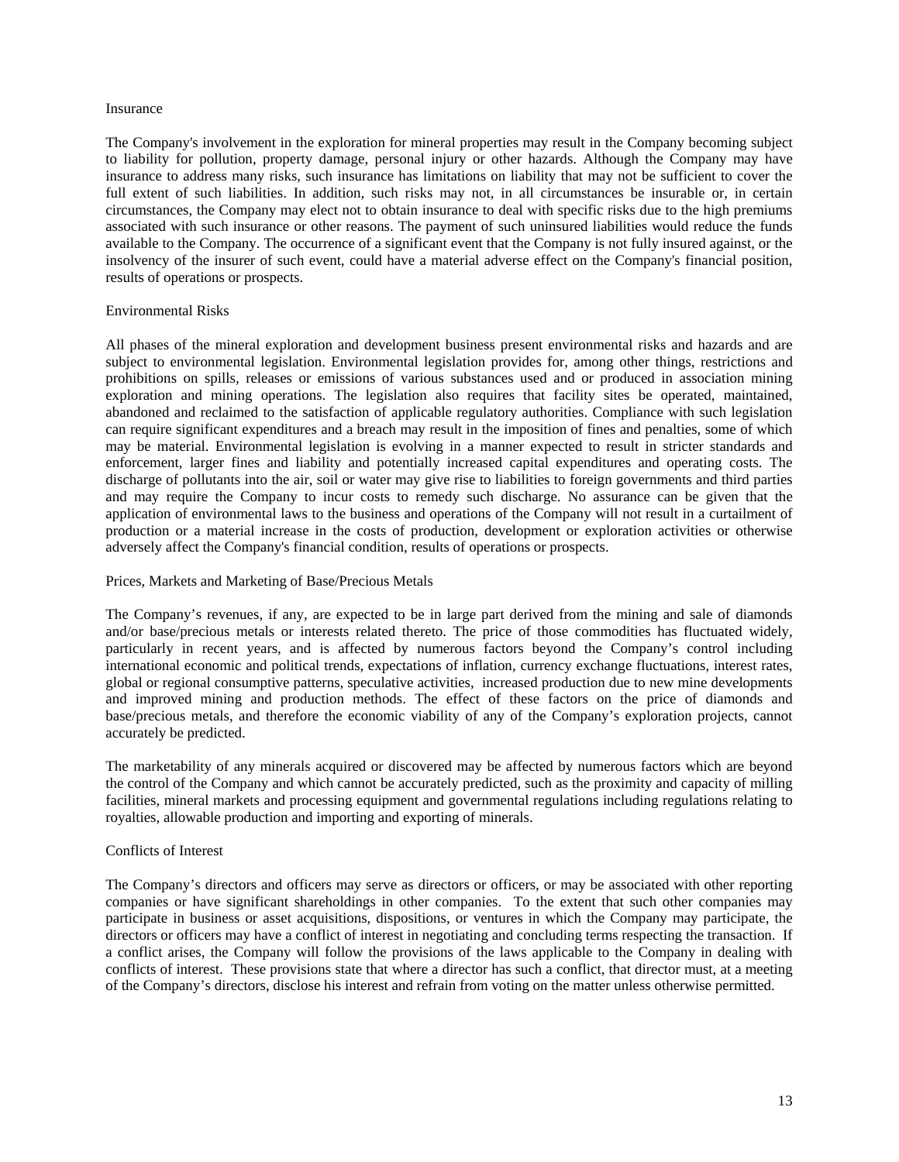#### Insurance

The Company's involvement in the exploration for mineral properties may result in the Company becoming subject to liability for pollution, property damage, personal injury or other hazards. Although the Company may have insurance to address many risks, such insurance has limitations on liability that may not be sufficient to cover the full extent of such liabilities. In addition, such risks may not, in all circumstances be insurable or, in certain circumstances, the Company may elect not to obtain insurance to deal with specific risks due to the high premiums associated with such insurance or other reasons. The payment of such uninsured liabilities would reduce the funds available to the Company. The occurrence of a significant event that the Company is not fully insured against, or the insolvency of the insurer of such event, could have a material adverse effect on the Company's financial position, results of operations or prospects.

#### Environmental Risks

All phases of the mineral exploration and development business present environmental risks and hazards and are subject to environmental legislation. Environmental legislation provides for, among other things, restrictions and prohibitions on spills, releases or emissions of various substances used and or produced in association mining exploration and mining operations. The legislation also requires that facility sites be operated, maintained, abandoned and reclaimed to the satisfaction of applicable regulatory authorities. Compliance with such legislation can require significant expenditures and a breach may result in the imposition of fines and penalties, some of which may be material. Environmental legislation is evolving in a manner expected to result in stricter standards and enforcement, larger fines and liability and potentially increased capital expenditures and operating costs. The discharge of pollutants into the air, soil or water may give rise to liabilities to foreign governments and third parties and may require the Company to incur costs to remedy such discharge. No assurance can be given that the application of environmental laws to the business and operations of the Company will not result in a curtailment of production or a material increase in the costs of production, development or exploration activities or otherwise adversely affect the Company's financial condition, results of operations or prospects.

### Prices, Markets and Marketing of Base/Precious Metals

The Company's revenues, if any, are expected to be in large part derived from the mining and sale of diamonds and/or base/precious metals or interests related thereto. The price of those commodities has fluctuated widely, particularly in recent years, and is affected by numerous factors beyond the Company's control including international economic and political trends, expectations of inflation, currency exchange fluctuations, interest rates, global or regional consumptive patterns, speculative activities, increased production due to new mine developments and improved mining and production methods. The effect of these factors on the price of diamonds and base/precious metals, and therefore the economic viability of any of the Company's exploration projects, cannot accurately be predicted.

The marketability of any minerals acquired or discovered may be affected by numerous factors which are beyond the control of the Company and which cannot be accurately predicted, such as the proximity and capacity of milling facilities, mineral markets and processing equipment and governmental regulations including regulations relating to royalties, allowable production and importing and exporting of minerals.

#### Conflicts of Interest

The Company's directors and officers may serve as directors or officers, or may be associated with other reporting companies or have significant shareholdings in other companies. To the extent that such other companies may participate in business or asset acquisitions, dispositions, or ventures in which the Company may participate, the directors or officers may have a conflict of interest in negotiating and concluding terms respecting the transaction. If a conflict arises, the Company will follow the provisions of the laws applicable to the Company in dealing with conflicts of interest. These provisions state that where a director has such a conflict, that director must, at a meeting of the Company's directors, disclose his interest and refrain from voting on the matter unless otherwise permitted.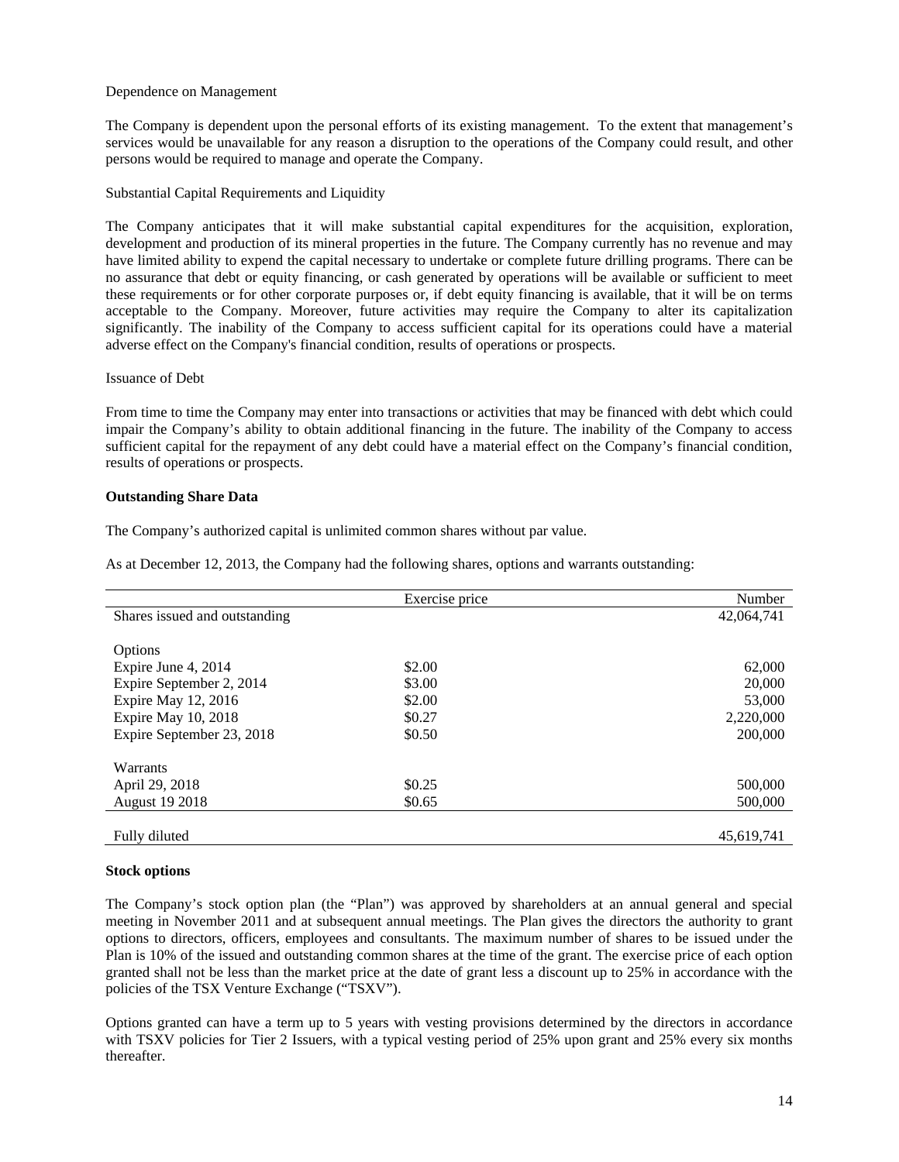#### Dependence on Management

The Company is dependent upon the personal efforts of its existing management. To the extent that management's services would be unavailable for any reason a disruption to the operations of the Company could result, and other persons would be required to manage and operate the Company.

### Substantial Capital Requirements and Liquidity

The Company anticipates that it will make substantial capital expenditures for the acquisition, exploration, development and production of its mineral properties in the future. The Company currently has no revenue and may have limited ability to expend the capital necessary to undertake or complete future drilling programs. There can be no assurance that debt or equity financing, or cash generated by operations will be available or sufficient to meet these requirements or for other corporate purposes or, if debt equity financing is available, that it will be on terms acceptable to the Company. Moreover, future activities may require the Company to alter its capitalization significantly. The inability of the Company to access sufficient capital for its operations could have a material adverse effect on the Company's financial condition, results of operations or prospects.

#### Issuance of Debt

From time to time the Company may enter into transactions or activities that may be financed with debt which could impair the Company's ability to obtain additional financing in the future. The inability of the Company to access sufficient capital for the repayment of any debt could have a material effect on the Company's financial condition, results of operations or prospects.

#### **Outstanding Share Data**

The Company's authorized capital is unlimited common shares without par value.

As at December 12, 2013, the Company had the following shares, options and warrants outstanding:

|                               | Exercise price | Number     |
|-------------------------------|----------------|------------|
| Shares issued and outstanding |                | 42,064,741 |
|                               |                |            |
| Options                       |                |            |
| Expire June 4, 2014           | \$2.00         | 62,000     |
| Expire September 2, 2014      | \$3.00         | 20,000     |
| Expire May 12, 2016           | \$2.00         | 53,000     |
| Expire May 10, 2018           | \$0.27         | 2,220,000  |
| Expire September 23, 2018     | \$0.50         | 200,000    |
|                               |                |            |
| Warrants                      |                |            |
| April 29, 2018                | \$0.25         | 500,000    |
| <b>August 19 2018</b>         | \$0.65         | 500,000    |
|                               |                |            |
| Fully diluted                 |                | 45,619,741 |

#### **Stock options**

The Company's stock option plan (the "Plan") was approved by shareholders at an annual general and special meeting in November 2011 and at subsequent annual meetings. The Plan gives the directors the authority to grant options to directors, officers, employees and consultants. The maximum number of shares to be issued under the Plan is 10% of the issued and outstanding common shares at the time of the grant. The exercise price of each option granted shall not be less than the market price at the date of grant less a discount up to 25% in accordance with the policies of the TSX Venture Exchange ("TSXV").

Options granted can have a term up to 5 years with vesting provisions determined by the directors in accordance with TSXV policies for Tier 2 Issuers, with a typical vesting period of 25% upon grant and 25% every six months thereafter.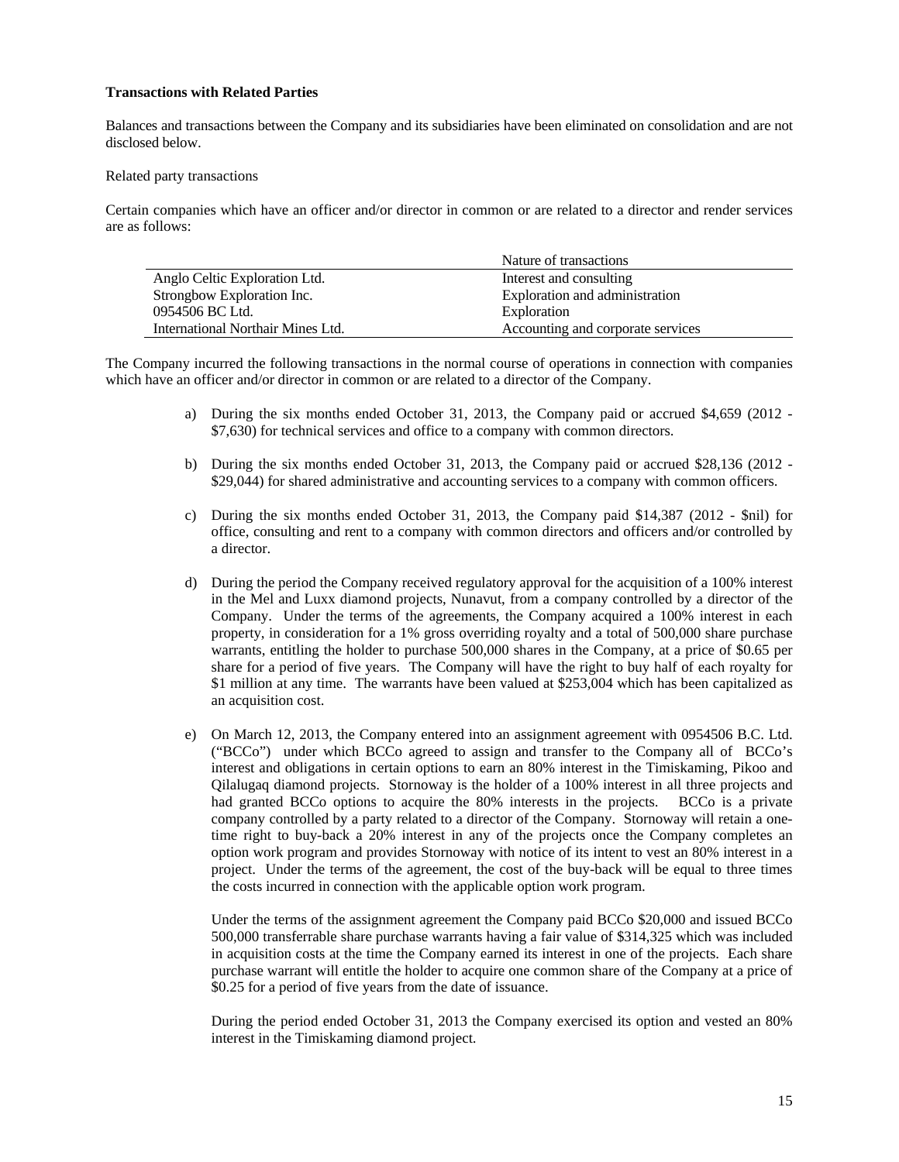# **Transactions with Related Parties**

Balances and transactions between the Company and its subsidiaries have been eliminated on consolidation and are not disclosed below.

#### Related party transactions

Certain companies which have an officer and/or director in common or are related to a director and render services are as follows:

|                                   | Nature of transactions            |
|-----------------------------------|-----------------------------------|
| Anglo Celtic Exploration Ltd.     | Interest and consulting           |
| Strongbow Exploration Inc.        | Exploration and administration    |
| 0954506 BC Ltd.                   | Exploration                       |
| International Northair Mines Ltd. | Accounting and corporate services |

The Company incurred the following transactions in the normal course of operations in connection with companies which have an officer and/or director in common or are related to a director of the Company.

- a) During the six months ended October 31, 2013, the Company paid or accrued \$4,659 (2012 \$7,630) for technical services and office to a company with common directors.
- b) During the six months ended October 31, 2013, the Company paid or accrued \$28,136 (2012 \$29,044) for shared administrative and accounting services to a company with common officers.
- c) During the six months ended October 31, 2013, the Company paid \$14,387 (2012 \$nil) for office, consulting and rent to a company with common directors and officers and/or controlled by a director.
- d) During the period the Company received regulatory approval for the acquisition of a 100% interest in the Mel and Luxx diamond projects, Nunavut, from a company controlled by a director of the Company. Under the terms of the agreements, the Company acquired a 100% interest in each property, in consideration for a 1% gross overriding royalty and a total of 500,000 share purchase warrants, entitling the holder to purchase 500,000 shares in the Company, at a price of \$0.65 per share for a period of five years. The Company will have the right to buy half of each royalty for \$1 million at any time. The warrants have been valued at \$253,004 which has been capitalized as an acquisition cost.
- e) On March 12, 2013, the Company entered into an assignment agreement with 0954506 B.C. Ltd. ("BCCo") under which BCCo agreed to assign and transfer to the Company all of BCCo's interest and obligations in certain options to earn an 80% interest in the Timiskaming, Pikoo and Qilalugaq diamond projects. Stornoway is the holder of a 100% interest in all three projects and had granted BCCo options to acquire the 80% interests in the projects. BCCo is a private company controlled by a party related to a director of the Company. Stornoway will retain a onetime right to buy-back a 20% interest in any of the projects once the Company completes an option work program and provides Stornoway with notice of its intent to vest an 80% interest in a project. Under the terms of the agreement, the cost of the buy-back will be equal to three times the costs incurred in connection with the applicable option work program.

Under the terms of the assignment agreement the Company paid BCCo \$20,000 and issued BCCo 500,000 transferrable share purchase warrants having a fair value of \$314,325 which was included in acquisition costs at the time the Company earned its interest in one of the projects. Each share purchase warrant will entitle the holder to acquire one common share of the Company at a price of \$0.25 for a period of five years from the date of issuance.

During the period ended October 31, 2013 the Company exercised its option and vested an 80% interest in the Timiskaming diamond project.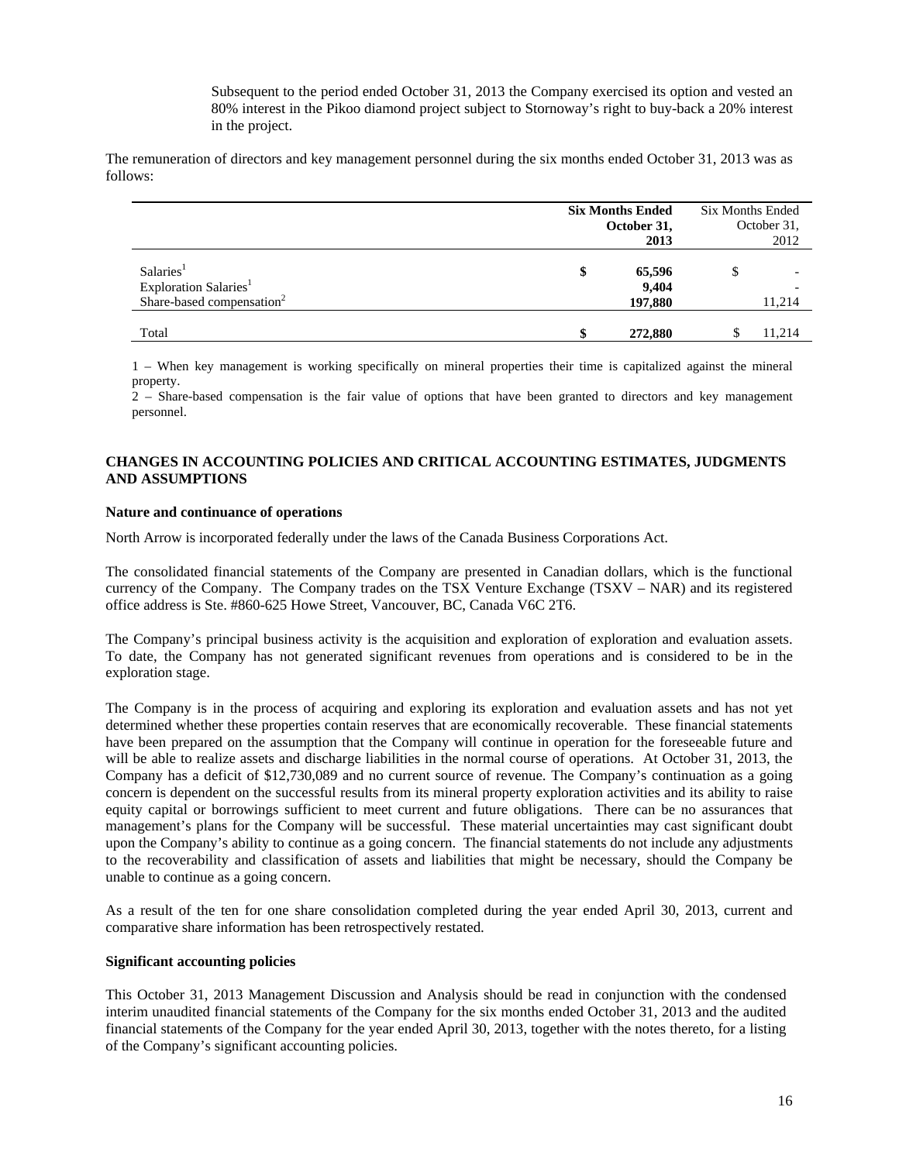Subsequent to the period ended October 31, 2013 the Company exercised its option and vested an 80% interest in the Pikoo diamond project subject to Stornoway's right to buy-back a 20% interest in the project.

The remuneration of directors and key management personnel during the six months ended October 31, 2013 was as follows:

|                                                                                                     | <b>Six Months Ended</b><br>October 31,<br>2013 |   | Six Months Ended<br>October 31,<br>2012 |  |  |
|-----------------------------------------------------------------------------------------------------|------------------------------------------------|---|-----------------------------------------|--|--|
| Salaries <sup>1</sup><br>Exploration Salaries <sup>1</sup><br>Share-based compensation <sup>2</sup> | 65,596<br>\$<br>9,404<br>197,880               | S | 11.214                                  |  |  |
| Total                                                                                               | 272,880                                        |   | 11,214                                  |  |  |

1 – When key management is working specifically on mineral properties their time is capitalized against the mineral property.

2 – Share-based compensation is the fair value of options that have been granted to directors and key management personnel.

# **CHANGES IN ACCOUNTING POLICIES AND CRITICAL ACCOUNTING ESTIMATES, JUDGMENTS AND ASSUMPTIONS**

# **Nature and continuance of operations**

North Arrow is incorporated federally under the laws of the Canada Business Corporations Act.

The consolidated financial statements of the Company are presented in Canadian dollars, which is the functional currency of the Company. The Company trades on the TSX Venture Exchange (TSXV – NAR) and its registered office address is Ste. #860-625 Howe Street, Vancouver, BC, Canada V6C 2T6.

The Company's principal business activity is the acquisition and exploration of exploration and evaluation assets. To date, the Company has not generated significant revenues from operations and is considered to be in the exploration stage.

The Company is in the process of acquiring and exploring its exploration and evaluation assets and has not yet determined whether these properties contain reserves that are economically recoverable. These financial statements have been prepared on the assumption that the Company will continue in operation for the foreseeable future and will be able to realize assets and discharge liabilities in the normal course of operations. At October 31, 2013, the Company has a deficit of \$12,730,089 and no current source of revenue. The Company's continuation as a going concern is dependent on the successful results from its mineral property exploration activities and its ability to raise equity capital or borrowings sufficient to meet current and future obligations. There can be no assurances that management's plans for the Company will be successful. These material uncertainties may cast significant doubt upon the Company's ability to continue as a going concern. The financial statements do not include any adjustments to the recoverability and classification of assets and liabilities that might be necessary, should the Company be unable to continue as a going concern.

As a result of the ten for one share consolidation completed during the year ended April 30, 2013, current and comparative share information has been retrospectively restated.

### **Significant accounting policies**

This October 31, 2013 Management Discussion and Analysis should be read in conjunction with the condensed interim unaudited financial statements of the Company for the six months ended October 31, 2013 and the audited financial statements of the Company for the year ended April 30, 2013, together with the notes thereto, for a listing of the Company's significant accounting policies.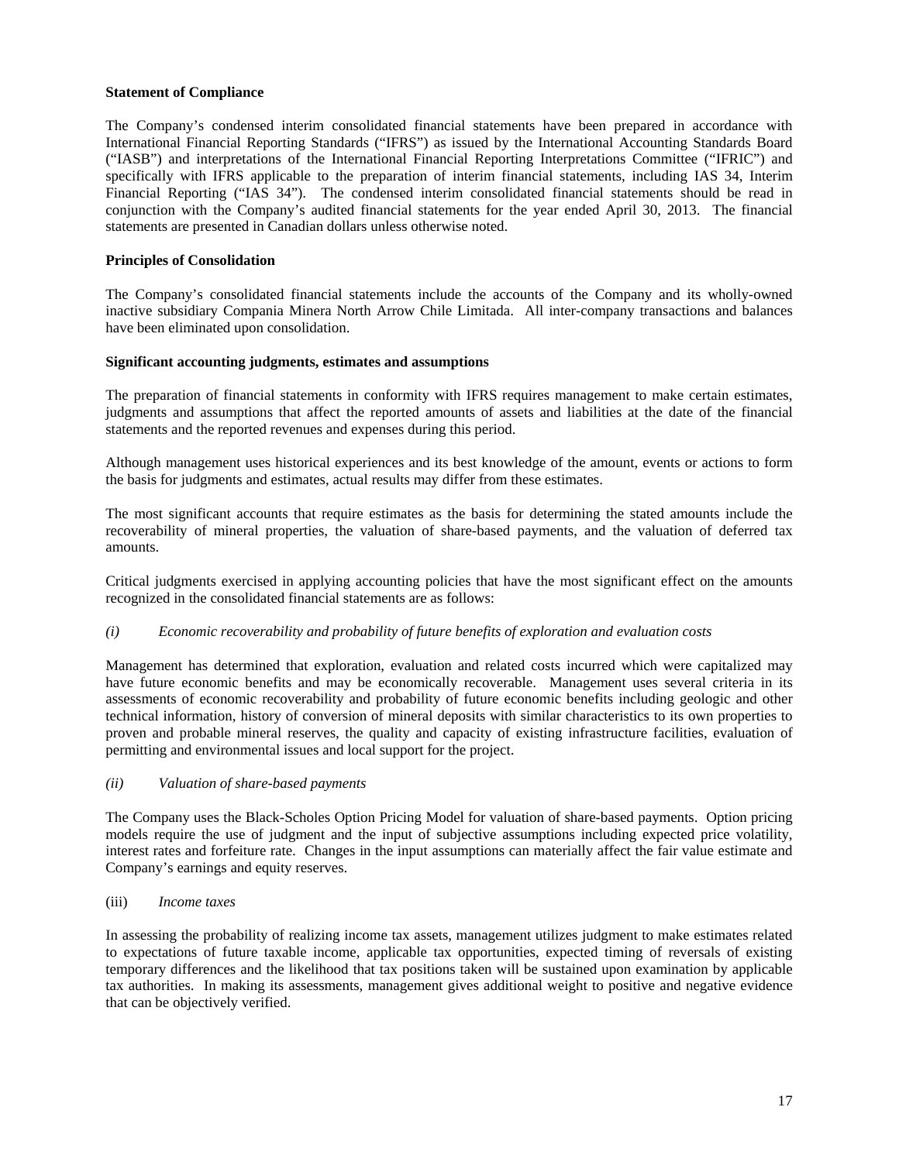# **Statement of Compliance**

The Company's condensed interim consolidated financial statements have been prepared in accordance with International Financial Reporting Standards ("IFRS") as issued by the International Accounting Standards Board ("IASB") and interpretations of the International Financial Reporting Interpretations Committee ("IFRIC") and specifically with IFRS applicable to the preparation of interim financial statements, including IAS 34, Interim Financial Reporting ("IAS 34"). The condensed interim consolidated financial statements should be read in conjunction with the Company's audited financial statements for the year ended April 30, 2013. The financial statements are presented in Canadian dollars unless otherwise noted.

# **Principles of Consolidation**

The Company's consolidated financial statements include the accounts of the Company and its wholly-owned inactive subsidiary Compania Minera North Arrow Chile Limitada. All inter-company transactions and balances have been eliminated upon consolidation.

# **Significant accounting judgments, estimates and assumptions**

The preparation of financial statements in conformity with IFRS requires management to make certain estimates, judgments and assumptions that affect the reported amounts of assets and liabilities at the date of the financial statements and the reported revenues and expenses during this period.

Although management uses historical experiences and its best knowledge of the amount, events or actions to form the basis for judgments and estimates, actual results may differ from these estimates.

The most significant accounts that require estimates as the basis for determining the stated amounts include the recoverability of mineral properties, the valuation of share-based payments, and the valuation of deferred tax amounts.

Critical judgments exercised in applying accounting policies that have the most significant effect on the amounts recognized in the consolidated financial statements are as follows:

# *(i) Economic recoverability and probability of future benefits of exploration and evaluation costs*

Management has determined that exploration, evaluation and related costs incurred which were capitalized may have future economic benefits and may be economically recoverable. Management uses several criteria in its assessments of economic recoverability and probability of future economic benefits including geologic and other technical information, history of conversion of mineral deposits with similar characteristics to its own properties to proven and probable mineral reserves, the quality and capacity of existing infrastructure facilities, evaluation of permitting and environmental issues and local support for the project.

### *(ii) Valuation of share-based payments*

The Company uses the Black-Scholes Option Pricing Model for valuation of share-based payments. Option pricing models require the use of judgment and the input of subjective assumptions including expected price volatility, interest rates and forfeiture rate. Changes in the input assumptions can materially affect the fair value estimate and Company's earnings and equity reserves.

#### (iii) *Income taxes*

In assessing the probability of realizing income tax assets, management utilizes judgment to make estimates related to expectations of future taxable income, applicable tax opportunities, expected timing of reversals of existing temporary differences and the likelihood that tax positions taken will be sustained upon examination by applicable tax authorities. In making its assessments, management gives additional weight to positive and negative evidence that can be objectively verified.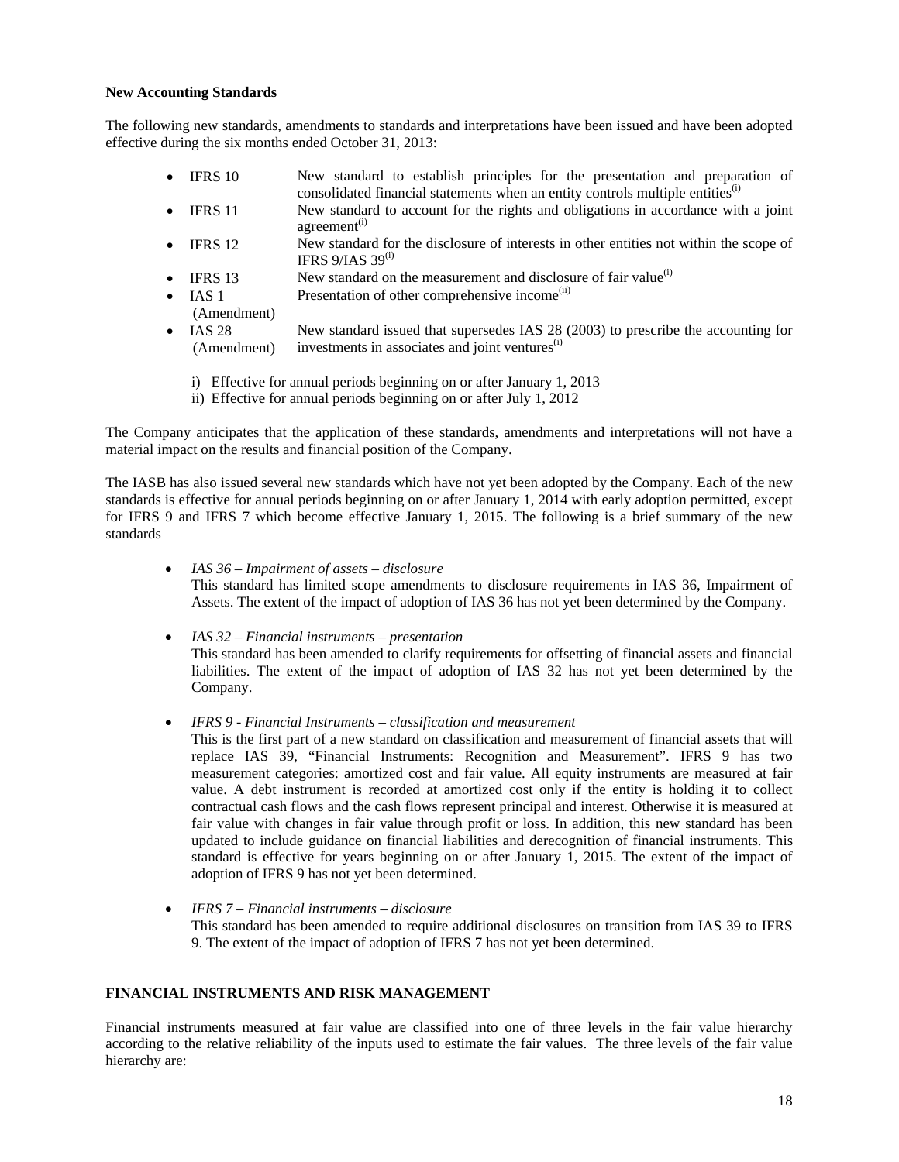### **New Accounting Standards**

The following new standards, amendments to standards and interpretations have been issued and have been adopted effective during the six months ended October 31, 2013:

- IFRS 10 New standard to establish principles for the presentation and preparation of consolidated financial statements when an entity controls multiple entities<sup>(i)</sup>
- IFRS 11 New standard to account for the rights and obligations in accordance with a joint agreement<sup>(i)</sup>
- IFRS 12 New standard for the disclosure of interests in other entities not within the scope of IFRS  $9/IAS$  39<sup>(i)</sup>
- IFRS 13 New standard on the measurement and disclosure of fair value<sup>(i)</sup>
- $\bullet$  IAS 1 Presentation of other comprehensive income<sup>(ii)</sup>
- (Amendment)
- $\bullet$  IAS 28 (Amendment) New standard issued that supersedes IAS 28 (2003) to prescribe the accounting for investments in associates and joint ventures<sup>(i)</sup>
	- i) Effective for annual periods beginning on or after January 1, 2013
	- ii) Effective for annual periods beginning on or after July 1, 2012

The Company anticipates that the application of these standards, amendments and interpretations will not have a material impact on the results and financial position of the Company.

The IASB has also issued several new standards which have not yet been adopted by the Company. Each of the new standards is effective for annual periods beginning on or after January 1, 2014 with early adoption permitted, except for IFRS 9 and IFRS 7 which become effective January 1, 2015. The following is a brief summary of the new standards

- *IAS 36 Impairment of assets disclosure*  This standard has limited scope amendments to disclosure requirements in IAS 36, Impairment of Assets. The extent of the impact of adoption of IAS 36 has not yet been determined by the Company.
- *IAS 32 Financial instruments presentation*  This standard has been amended to clarify requirements for offsetting of financial assets and financial liabilities. The extent of the impact of adoption of IAS 32 has not yet been determined by the Company.
- *IFRS 9 Financial Instruments classification and measurement*  This is the first part of a new standard on classification and measurement of financial assets that will replace IAS 39, "Financial Instruments: Recognition and Measurement". IFRS 9 has two measurement categories: amortized cost and fair value. All equity instruments are measured at fair value. A debt instrument is recorded at amortized cost only if the entity is holding it to collect contractual cash flows and the cash flows represent principal and interest. Otherwise it is measured at fair value with changes in fair value through profit or loss. In addition, this new standard has been updated to include guidance on financial liabilities and derecognition of financial instruments. This standard is effective for years beginning on or after January 1, 2015. The extent of the impact of adoption of IFRS 9 has not yet been determined.
- *IFRS 7 Financial instruments disclosure*  This standard has been amended to require additional disclosures on transition from IAS 39 to IFRS 9. The extent of the impact of adoption of IFRS 7 has not yet been determined.

# **FINANCIAL INSTRUMENTS AND RISK MANAGEMENT**

Financial instruments measured at fair value are classified into one of three levels in the fair value hierarchy according to the relative reliability of the inputs used to estimate the fair values. The three levels of the fair value hierarchy are: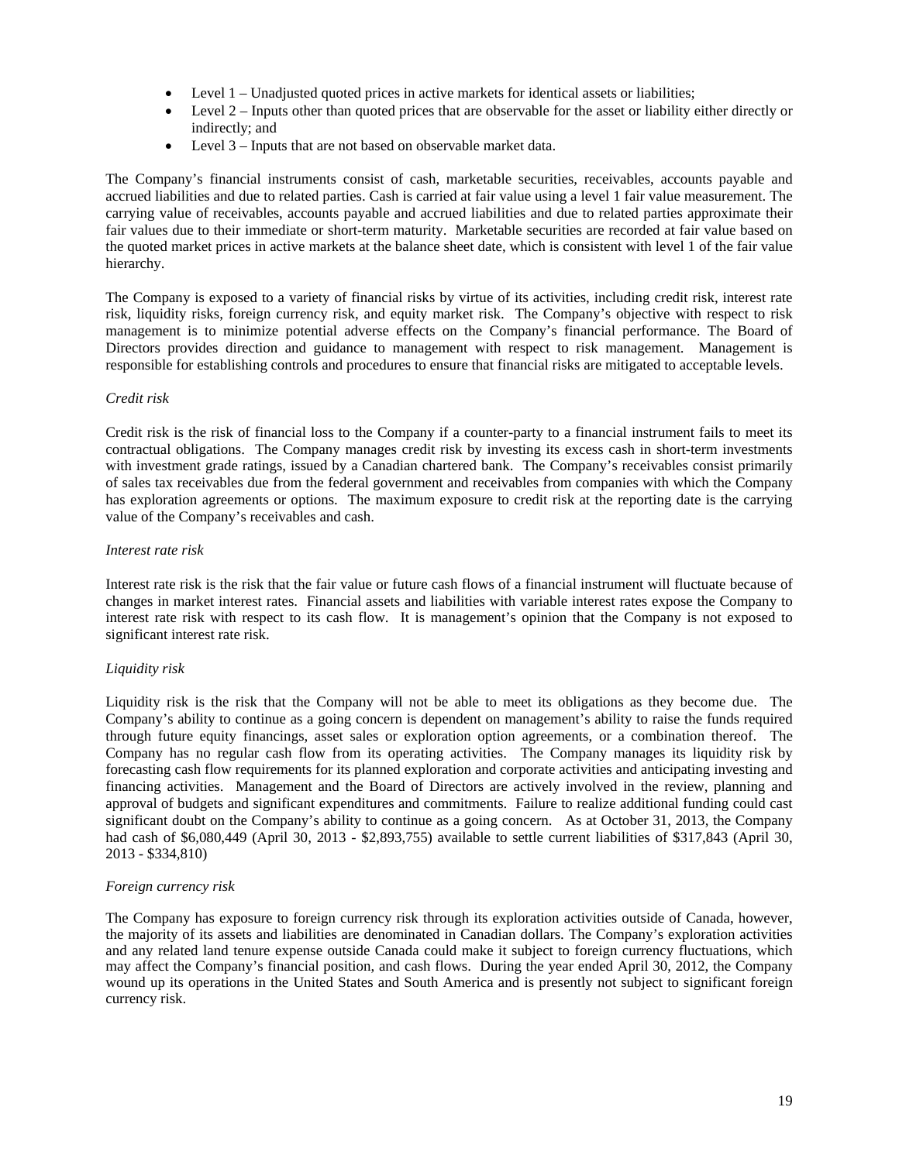- Level 1 Unadjusted quoted prices in active markets for identical assets or liabilities;
- Level 2 Inputs other than quoted prices that are observable for the asset or liability either directly or indirectly; and
- Level 3 Inputs that are not based on observable market data.

The Company's financial instruments consist of cash, marketable securities, receivables, accounts payable and accrued liabilities and due to related parties. Cash is carried at fair value using a level 1 fair value measurement. The carrying value of receivables, accounts payable and accrued liabilities and due to related parties approximate their fair values due to their immediate or short-term maturity. Marketable securities are recorded at fair value based on the quoted market prices in active markets at the balance sheet date, which is consistent with level 1 of the fair value hierarchy.

The Company is exposed to a variety of financial risks by virtue of its activities, including credit risk, interest rate risk, liquidity risks, foreign currency risk, and equity market risk. The Company's objective with respect to risk management is to minimize potential adverse effects on the Company's financial performance. The Board of Directors provides direction and guidance to management with respect to risk management. Management is responsible for establishing controls and procedures to ensure that financial risks are mitigated to acceptable levels.

# *Credit risk*

Credit risk is the risk of financial loss to the Company if a counter-party to a financial instrument fails to meet its contractual obligations. The Company manages credit risk by investing its excess cash in short-term investments with investment grade ratings, issued by a Canadian chartered bank. The Company's receivables consist primarily of sales tax receivables due from the federal government and receivables from companies with which the Company has exploration agreements or options. The maximum exposure to credit risk at the reporting date is the carrying value of the Company's receivables and cash.

#### *Interest rate risk*

Interest rate risk is the risk that the fair value or future cash flows of a financial instrument will fluctuate because of changes in market interest rates. Financial assets and liabilities with variable interest rates expose the Company to interest rate risk with respect to its cash flow. It is management's opinion that the Company is not exposed to significant interest rate risk.

# *Liquidity risk*

Liquidity risk is the risk that the Company will not be able to meet its obligations as they become due. The Company's ability to continue as a going concern is dependent on management's ability to raise the funds required through future equity financings, asset sales or exploration option agreements, or a combination thereof. The Company has no regular cash flow from its operating activities. The Company manages its liquidity risk by forecasting cash flow requirements for its planned exploration and corporate activities and anticipating investing and financing activities. Management and the Board of Directors are actively involved in the review, planning and approval of budgets and significant expenditures and commitments. Failure to realize additional funding could cast significant doubt on the Company's ability to continue as a going concern. As at October 31, 2013, the Company had cash of \$6,080,449 (April 30, 2013 - \$2,893,755) available to settle current liabilities of \$317,843 (April 30, 2013 - \$334,810)

#### *Foreign currency risk*

The Company has exposure to foreign currency risk through its exploration activities outside of Canada, however, the majority of its assets and liabilities are denominated in Canadian dollars. The Company's exploration activities and any related land tenure expense outside Canada could make it subject to foreign currency fluctuations, which may affect the Company's financial position, and cash flows. During the year ended April 30, 2012, the Company wound up its operations in the United States and South America and is presently not subject to significant foreign currency risk.